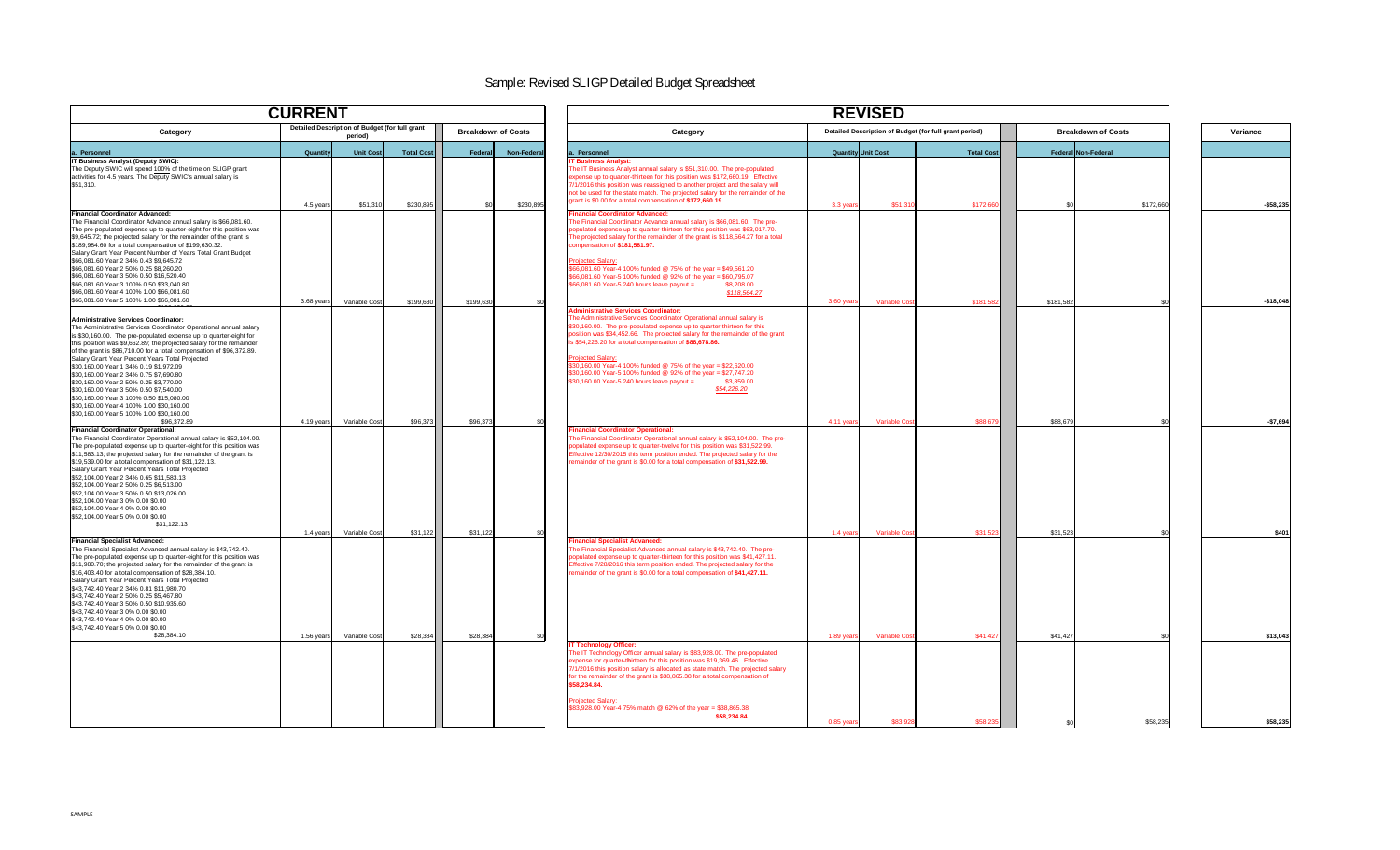

|                                                                                                                                                                                                                                                                                                                                                                                                                                                                                                                                                                                                                                                                                               | <b>CURRENT</b>                                            |                   |                              | <b>REVISED</b>                                                                                                                                                                                                                                                                                                                                                                                                                                                                                                                                                                      |                                                        |                   |                           |           |            |  |
|-----------------------------------------------------------------------------------------------------------------------------------------------------------------------------------------------------------------------------------------------------------------------------------------------------------------------------------------------------------------------------------------------------------------------------------------------------------------------------------------------------------------------------------------------------------------------------------------------------------------------------------------------------------------------------------------------|-----------------------------------------------------------|-------------------|------------------------------|-------------------------------------------------------------------------------------------------------------------------------------------------------------------------------------------------------------------------------------------------------------------------------------------------------------------------------------------------------------------------------------------------------------------------------------------------------------------------------------------------------------------------------------------------------------------------------------|--------------------------------------------------------|-------------------|---------------------------|-----------|------------|--|
| <b>Category</b>                                                                                                                                                                                                                                                                                                                                                                                                                                                                                                                                                                                                                                                                               | Detailed Description of Budget (for full grant<br>period) |                   | <b>Breakdown of Costs</b>    | <b>Category</b>                                                                                                                                                                                                                                                                                                                                                                                                                                                                                                                                                                     | Detailed Description of Budget (for full grant period) |                   | <b>Breakdown of Costs</b> |           | Variance   |  |
| a. Personnel                                                                                                                                                                                                                                                                                                                                                                                                                                                                                                                                                                                                                                                                                  | Unit Cost<br><b>Quantity</b>                              | <b>Total Cost</b> | <b>Non-Federa</b><br>Federal | a. Personnel                                                                                                                                                                                                                                                                                                                                                                                                                                                                                                                                                                        | <b>Quantity Unit Cost</b>                              | <b>Total Cost</b> | Federal Non-Federal       |           |            |  |
| <b>IT Business Analyst (Deputy SWIC):</b><br>The Deputy SWIC will spend 100% of the time on SLIGP grant<br>activities for 4.5 years. The Deputy SWIC's annual salary is<br>\$51,310.                                                                                                                                                                                                                                                                                                                                                                                                                                                                                                          | \$51,310<br>4.5 years                                     | \$230,89          | \$230,895<br>\$0             | <b>IT Business Analyst:</b><br>The IT Business Analyst annual salary is \$51,310.00. The pre-populated<br>expense up to quarter-thirteen for this position was \$172,660.19. Effective<br>7/1/2016 this position was reassigned to another project and the salary will<br>not be used for the state match. The projected salary for the remainder of the<br>grant is \$0.00 for a total compensation of \$172,660.19.                                                                                                                                                               | \$51,310<br>3.3 year                                   | \$172,66          |                           | \$172,660 | $-$58,235$ |  |
| <b>Financial Coordinator Advanced:</b><br>The Financial Coordinator Advance annual salary is \$66,081.60.<br>The pre-populated expense up to quarter-eight for this position was<br>\$9,645.72; the projected salary for the remainder of the grant is<br>\$189,984.60 for a total compensation of \$199,630.32.<br>Salary Grant Year Percent Number of Years Total Grant Budget<br>\$66,081.60 Year 2 34% 0.43 \$9,645.72<br>\$66,081.60 Year 2 50% 0.25 \$8,260.20<br>\$66,081.60 Year 3 50% 0.50 \$16,520.40<br>\$66,081.60 Year 3 100% 0.50 \$33,040.80<br>\$66,081.60 Year 4 100% 1.00 \$66,081.60<br>\$66,081.60 Year 5 100% 1.00 \$66,081.60                                           | Variable Cost<br>3.68 years                               | \$199,630         | \$199,630                    | <b>Financial Coordinator Advanced:</b><br>The Financial Coordinator Advance annual salary is \$66,081.60. The pre-<br>oopulated expense up to quarter-thirteen for this position was \$63,017.70.<br>The projected salary for the remainder of the grant is \$118,564.27 for a total<br>compensation of \$181.581.97.<br><b>Projected Salary:</b><br>\$66,081.60 Year-4 100% funded @ 75% of the year = \$49,561.20<br>\$66,081.60 Year-5 100% funded @ 92% of the year = \$60,795.07<br>\$66,081.60 Year-5 240 hours leave payout =<br>\$8,208.00<br>\$118,564.27                  | 3.60 year<br><b>Variable Cos</b>                       | \$181,582         | \$181,582                 |           | $-$18,048$ |  |
| Administrative Services Coordinator:<br>The Administrative Services Coordinator Operational annual salary<br>is \$30,160.00. The pre-populated expense up to quarter-eight for<br>this position was \$9,662.89; the projected salary for the remainder<br>of the grant is \$86,710.00 for a total compensation of \$96,372.89.<br>Salary Grant Year Percent Years Total Projected<br>\$30,160.00 Year 1 34% 0.19 \$1,972.09<br>\$30,160.00 Year 2 34% 0.75 \$7,690.80<br>\$30,160.00 Year 2 50% 0.25 \$3,770.00<br>\$30,160.00 Year 3 50% 0.50 \$7,540.00<br>\$30,160.00 Year 3 100% 0.50 \$15,080.00<br>\$30,160.00 Year 4 100% 1.00 \$30,160.00<br>\$30,160.00 Year 5 100% 1.00 \$30,160.00 |                                                           |                   |                              | <b>Administrative Services Coordinator:</b><br>The Administrative Services Coordinator Operational annual salary is<br>\$30,160.00. The pre-populated expense up to quarter-thirteen for this<br>position was \$34,452.66. The projected salary for the remainder of the grant<br>s \$54,226.20 for a total compensation of \$88,678.86.<br><b>Projected Salary:</b><br>\$30,160.00 Year-4 100% funded @ 75% of the year = \$22,620.00<br>\$30,160.00 Year-5 100% funded @ 92% of the year = \$27,747.20<br>$$30,160.00$ Year-5 240 hours leave payout = $$3,859.00$<br>\$54,226.20 |                                                        |                   |                           |           |            |  |
| \$96,372.89<br><b>Financial Coordinator Operational:</b><br>The Financial Coordinator Operational annual salary is \$52,104.00.<br>The pre-populated expense up to quarter-eight for this position was<br>\$11,583.13; the projected salary for the remainder of the grant is<br>\$19,539.00 for a total compensation of \$31,122.13.<br>Salary Grant Year Percent Years Total Projected<br>\$52,104.00 Year 2 34% 0.65 \$11,583.13<br>\$52,104.00 Year 2 50% 0.25 \$6,513.00<br>\$52,104.00 Year 3 50% 0.50 \$13,026.00<br>\$52,104.00 Year 3 0% 0.00 \$0.00<br>\$52,104.00 Year 4 0% 0.00 \$0.00<br>\$52,104.00 Year 5 0% 0.00 \$0.00<br>\$31,122.13                                        | Variable Cost<br>4.19 years                               | \$96,373          | \$96,373                     | <b>Financial Coordinator Operational:</b><br>The Financial Coordinator Operational annual salary is \$52,104.00. The pre-<br>oopulated expense up to quarter-twelve for this position was \$31,522.99.<br>Effective 12/30/2015 this term position ended. The projected salary for the<br>remainder of the grant is \$0.00 for a total compensation of \$31,522.99.                                                                                                                                                                                                                  | 4.11 years<br><b>Variable Cost</b>                     | \$88,679          | \$88,679                  |           | $-$7,694$  |  |
| <b>Financial Specialist Advanced:</b><br>The Financial Specialist Advanced annual salary is \$43,742.40.<br>The pre-populated expense up to quarter-eight for this position was<br>\$11,980.70; the projected salary for the remainder of the grant is<br>\$16,403.40 for a total compensation of \$28,384.10.<br>Salary Grant Year Percent Years Total Projected<br>\$43,742.40 Year 2 34% 0.81 \$11,980.70<br>\$43,742.40 Year 2 50% 0.25 \$5,467.80<br>\$43,742.40 Year 3 50% 0.50 \$10,935.60<br>\$43,742.40 Year 3 0% 0.00 \$0.00<br>\$43,742.40 Year 4 0% 0.00 \$0.00                                                                                                                   | Variable Cost<br>1.4 years                                | \$31,122          | \$31,122                     | <b>Financial Specialist Advanced:</b><br>The Financial Specialist Advanced annual salary is \$43,742.40. The pre-<br>populated expense up to quarter-thirteen for this position was \$41,427.11.<br>Effective 7/28/2016 this term position ended. The projected salary for the<br>remainder of the grant is \$0.00 for a total compensation of \$41,427.11.                                                                                                                                                                                                                         | <b>Variable Cos</b><br>1.4 years                       | \$31,523          | \$31,523                  |           | \$401      |  |
| \$43,742.40 Year 5 0% 0.00 \$0.00<br>\$28,384.10                                                                                                                                                                                                                                                                                                                                                                                                                                                                                                                                                                                                                                              | 1.56 years<br>Variable Cost                               | \$28,384          | \$28,384                     | <b>IT Technology Officer:</b><br>The IT Technology Officer annual salary is \$83,928.00. The pre-populated<br>expense for quarter-thirteen for this position was \$19,369.46. Effective<br>7/1/2016 this position salary is allocated as state match. The projected salary<br>for the remainder of the grant is \$38,865.38 for a total compensation of<br>\$58,234.84.<br><b>Projected Salary:</b><br>\$83,928.00 Year-4 75% match @ 62% of the year = \$38,865.38                                                                                                                 | $1.89$ year<br><b>Variable Cos</b>                     | \$41,427          | \$41,427                  |           | \$13,043   |  |
|                                                                                                                                                                                                                                                                                                                                                                                                                                                                                                                                                                                                                                                                                               |                                                           |                   |                              | \$58,234.84                                                                                                                                                                                                                                                                                                                                                                                                                                                                                                                                                                         | \$83,928<br>0.85 years                                 | \$58,235          |                           | \$58,235  | \$58,235   |  |

# Sample: Revised SLIGP Detailed Budget Spreadsheet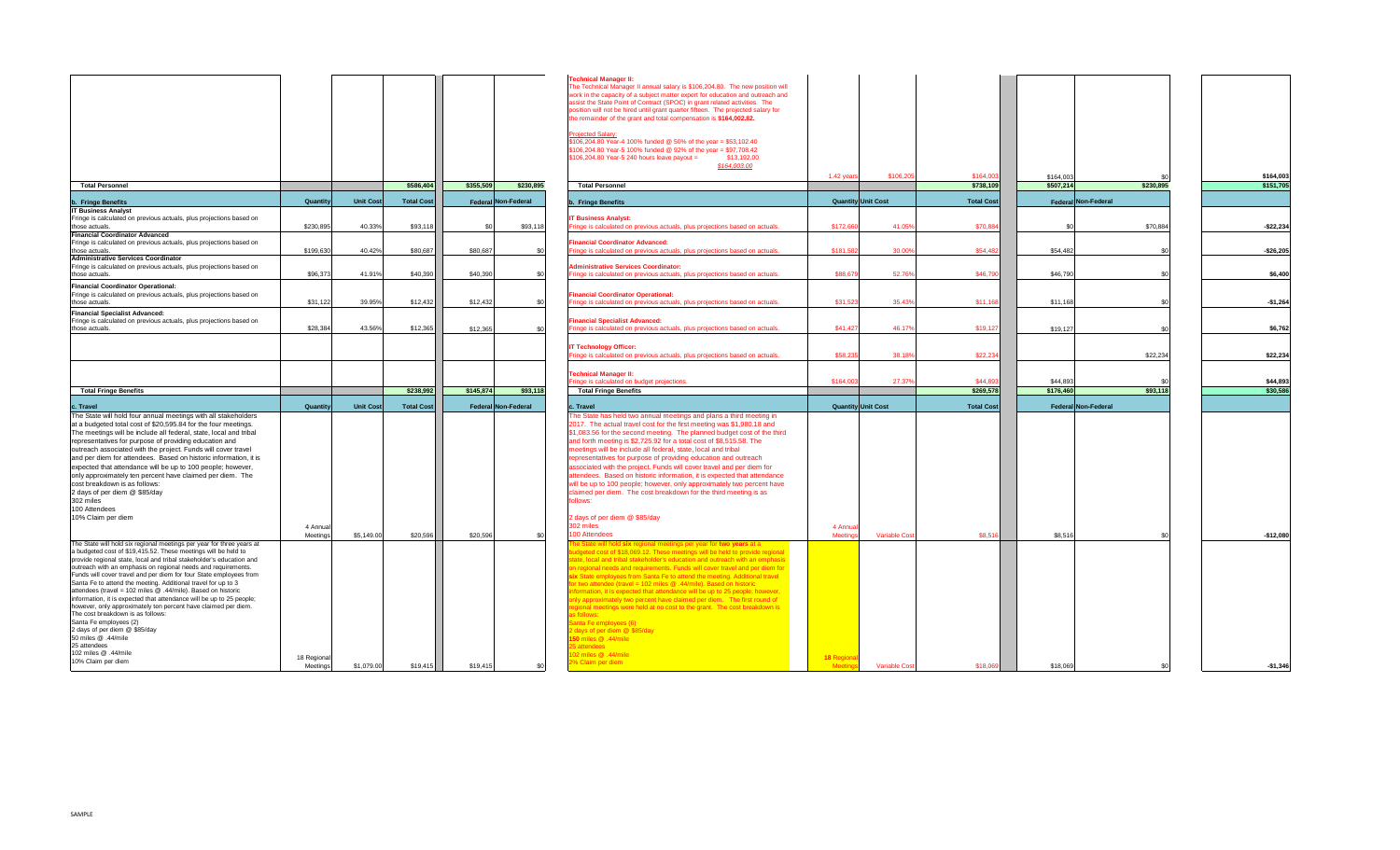

|                                                                                                                                        |                     |            |                   |                     |           | <b>Technical Manager II:</b><br>The Technical Manager II annual salary is \$106,204.80. The new position will<br>work in the capacity of a subject matter expert for education and outreach and<br>assist the State Point of Contract (SPOC) in grant related activities. The<br>position will not be hired until grant quarter fifteen. The projected salary for<br>the remainder of the grant and total compensation is \$164,002.82.<br><b>Projected Salary:</b> |                           |                      |                        |                        |           |                        |
|----------------------------------------------------------------------------------------------------------------------------------------|---------------------|------------|-------------------|---------------------|-----------|---------------------------------------------------------------------------------------------------------------------------------------------------------------------------------------------------------------------------------------------------------------------------------------------------------------------------------------------------------------------------------------------------------------------------------------------------------------------|---------------------------|----------------------|------------------------|------------------------|-----------|------------------------|
|                                                                                                                                        |                     |            |                   |                     |           | \$106,204.80 Year-4 100% funded @ 50% of the year = \$53,102.40<br>\$106,204.80 Year-5 100% funded @ 92% of the year = \$97,708.42<br>$$106,204.80$ Year-5 240 hours leave payout =<br>\$13,192.00<br>\$164,003.00                                                                                                                                                                                                                                                  |                           |                      |                        |                        |           |                        |
| <b>Total Personnel</b>                                                                                                                 |                     |            | \$586,404         | \$355,509           | \$230,895 | <b>Total Personnel</b>                                                                                                                                                                                                                                                                                                                                                                                                                                              | 1.42 years                | \$106,205            | \$164,003<br>\$738,109 | \$164,003<br>\$507,214 | \$230,895 | \$164,003<br>\$151,705 |
|                                                                                                                                        |                     |            |                   |                     |           |                                                                                                                                                                                                                                                                                                                                                                                                                                                                     |                           |                      |                        |                        |           |                        |
| <b>b. Fringe Benefits</b>                                                                                                              | <b>Quantity</b>     | Unit Cost  | <b>Total Cost</b> | Federal Non-Federal |           | <b>b.</b> Fringe Benefits                                                                                                                                                                                                                                                                                                                                                                                                                                           | <b>Quantity Unit Cost</b> |                      | <b>Total Cost</b>      | Federal Non-Federal    |           |                        |
| <b>IT Business Analyst</b><br>Fringe is calculated on previous actuals, plus projections based on                                      |                     |            |                   |                     |           | <b>IT Business Analyst:</b>                                                                                                                                                                                                                                                                                                                                                                                                                                         |                           |                      |                        |                        |           |                        |
| those actuals.                                                                                                                         | \$230,895           | 40.33%     | \$93,118          | -\$0                | \$93,118  | Fringe is calculated on previous actuals, plus projections based on actuals.                                                                                                                                                                                                                                                                                                                                                                                        | \$172,66                  | 41.05%               | \$70,884               |                        | \$70,884  | $-$ \$22,234           |
| <b>Financial Coordinator Advanced</b>                                                                                                  |                     |            |                   |                     |           |                                                                                                                                                                                                                                                                                                                                                                                                                                                                     |                           |                      |                        |                        |           |                        |
| Fringe is calculated on previous actuals, plus projections based on<br>those actuals.                                                  | \$199,630           | 40.42%     | \$80,687          | \$80,687            |           | <b>Financial Coordinator Advanced:</b><br>Fringe is calculated on previous actuals, plus projections based on actuals.                                                                                                                                                                                                                                                                                                                                              | \$181,582                 | 30.00%               | \$54,482               | \$54,482               |           | $-$26,205$             |
| <b>Administrative Services Coordinator</b>                                                                                             |                     |            |                   |                     |           |                                                                                                                                                                                                                                                                                                                                                                                                                                                                     |                           |                      |                        |                        |           |                        |
| Fringe is calculated on previous actuals, plus projections based on                                                                    |                     |            |                   |                     |           | <b>Administrative Services Coordinator:</b>                                                                                                                                                                                                                                                                                                                                                                                                                         |                           |                      |                        |                        |           |                        |
| those actuals.                                                                                                                         | \$96,373            | 41.91%     | \$40,390          | \$40,390            |           | Fringe is calculated on previous actuals, plus projections based on actuals.                                                                                                                                                                                                                                                                                                                                                                                        | \$88,679                  | 52.76%               | \$46,790               | \$46,790               |           | \$6,400                |
| <b>Financial Coordinator Operational:</b>                                                                                              |                     |            |                   |                     |           |                                                                                                                                                                                                                                                                                                                                                                                                                                                                     |                           |                      |                        |                        |           |                        |
| Fringe is calculated on previous actuals, plus projections based on<br>those actuals.                                                  | \$31,122            | 39.95%     | \$12,432          | \$12,432            |           | <b>Financial Coordinator Operational:</b><br>Fringe is calculated on previous actuals, plus projections based on actuals.                                                                                                                                                                                                                                                                                                                                           | \$31,523                  | 35.43%               | \$11,168               | \$11,168               |           | $-$1,264$              |
| <b>Financial Specialist Advanced:</b>                                                                                                  |                     |            |                   |                     |           |                                                                                                                                                                                                                                                                                                                                                                                                                                                                     |                           |                      |                        |                        |           |                        |
| Fringe is calculated on previous actuals, plus projections based on                                                                    |                     |            |                   |                     |           | <b>Financial Specialist Advanced:</b>                                                                                                                                                                                                                                                                                                                                                                                                                               |                           |                      |                        |                        |           |                        |
| those actuals.                                                                                                                         | \$28,384            | 43.56%     | \$12,365          | \$12,365            |           | Fringe is calculated on previous actuals, plus projections based on actuals.                                                                                                                                                                                                                                                                                                                                                                                        | \$41,427                  | 46.17%               | \$19,127               | \$19,127               |           | \$6,762                |
|                                                                                                                                        |                     |            |                   |                     |           |                                                                                                                                                                                                                                                                                                                                                                                                                                                                     |                           |                      |                        |                        |           |                        |
|                                                                                                                                        |                     |            |                   |                     |           | <b>IT Technology Officer:</b><br>Fringe is calculated on previous actuals, plus projections based on actuals.                                                                                                                                                                                                                                                                                                                                                       | \$58,235                  | 38.18%               | \$22,234               |                        | \$22,234  | \$22,234               |
|                                                                                                                                        |                     |            |                   |                     |           |                                                                                                                                                                                                                                                                                                                                                                                                                                                                     |                           |                      |                        |                        |           |                        |
|                                                                                                                                        |                     |            |                   |                     |           | <b>Technical Manager II:</b>                                                                                                                                                                                                                                                                                                                                                                                                                                        |                           |                      |                        |                        |           |                        |
|                                                                                                                                        |                     |            |                   |                     |           | Fringe is calculated on budget projections.                                                                                                                                                                                                                                                                                                                                                                                                                         | \$164,003                 | 27.37%               | \$44,89                | \$44,893               |           | \$44,893               |
| <b>Total Fringe Benefits</b>                                                                                                           |                     |            | \$238,992         | \$145,874           | \$93,118  | <b>Total Fringe Benefits</b>                                                                                                                                                                                                                                                                                                                                                                                                                                        |                           |                      | \$269,578              | \$176,460              | \$93,118  | \$30,586               |
| c. Travel                                                                                                                              | Quantity            | Unit Cost  | <b>Total Cost</b> | Federal Non-Federal |           | c. Travel                                                                                                                                                                                                                                                                                                                                                                                                                                                           | <b>Quantity Unit Cost</b> |                      | <b>Total Cost</b>      | Federal Non-Federal    |           |                        |
| The State will hold four annual meetings with all stakeholders                                                                         |                     |            |                   |                     |           | The State has held two annual meetings and plans a third meeting in                                                                                                                                                                                                                                                                                                                                                                                                 |                           |                      |                        |                        |           |                        |
| at a budgeted total cost of \$20,595.84 for the four meetings.                                                                         |                     |            |                   |                     |           | 2017. The actual travel cost for the first meeting was \$1,980.18 and                                                                                                                                                                                                                                                                                                                                                                                               |                           |                      |                        |                        |           |                        |
| The meetings will be include all federal, state, local and tribal<br>representatives for purpose of providing education and            |                     |            |                   |                     |           | \$1,083.56 for the second meeting. The planned budget cost of the third<br>and forth meeting is \$2,725.92 for a total cost of \$8,515.58. The                                                                                                                                                                                                                                                                                                                      |                           |                      |                        |                        |           |                        |
| outreach associated with the project. Funds will cover travel                                                                          |                     |            |                   |                     |           | meetings will be include all federal, state, local and tribal                                                                                                                                                                                                                                                                                                                                                                                                       |                           |                      |                        |                        |           |                        |
| and per diem for attendees. Based on historic information, it is                                                                       |                     |            |                   |                     |           | representatives for purpose of providing education and outreach                                                                                                                                                                                                                                                                                                                                                                                                     |                           |                      |                        |                        |           |                        |
| expected that attendance will be up to 100 people; however,                                                                            |                     |            |                   |                     |           | associated with the project. Funds will cover travel and per diem for                                                                                                                                                                                                                                                                                                                                                                                               |                           |                      |                        |                        |           |                        |
| only approximately ten percent have claimed per diem. The                                                                              |                     |            |                   |                     |           | attendees. Based on historic information, it is expected that attendance                                                                                                                                                                                                                                                                                                                                                                                            |                           |                      |                        |                        |           |                        |
| cost breakdown is as follows:<br>2 days of per diem @ \$85/day                                                                         |                     |            |                   |                     |           | will be up to 100 people; however, only approximately two percent have<br>claimed per diem. The cost breakdown for the third meeting is as                                                                                                                                                                                                                                                                                                                          |                           |                      |                        |                        |           |                        |
| 302 miles                                                                                                                              |                     |            |                   |                     |           | follows:                                                                                                                                                                                                                                                                                                                                                                                                                                                            |                           |                      |                        |                        |           |                        |
| 100 Attendees                                                                                                                          |                     |            |                   |                     |           |                                                                                                                                                                                                                                                                                                                                                                                                                                                                     |                           |                      |                        |                        |           |                        |
| 10% Claim per diem                                                                                                                     |                     |            |                   |                     |           | 2 days of per diem @ \$85/day                                                                                                                                                                                                                                                                                                                                                                                                                                       |                           |                      |                        |                        |           |                        |
|                                                                                                                                        | 4 Annua<br>Meetings | \$5,149.00 | \$20,596          | \$20,596            |           | 302 miles<br>100 Attendees                                                                                                                                                                                                                                                                                                                                                                                                                                          | 4 Annua<br>Meeting        | <b>Variable Cost</b> | \$8,516                | \$8,516                |           | $-$12,080$             |
| The State will hold six regional meetings per year for three years at                                                                  |                     |            |                   |                     |           | The State will hold six regional meetings per year for two years at a                                                                                                                                                                                                                                                                                                                                                                                               |                           |                      |                        |                        |           |                        |
| a budgeted cost of \$19,415.52. These meetings will be held to                                                                         |                     |            |                   |                     |           | udgeted cost of \$18,069.12. These meetings will be held to provide regional                                                                                                                                                                                                                                                                                                                                                                                        |                           |                      |                        |                        |           |                        |
| provide regional state, local and tribal stakeholder's education and<br>outreach with an emphasis on regional needs and requirements.  |                     |            |                   |                     |           | ate, local and tribal stakeholder's education and outreach with an emphasis<br>on regional needs and requirements. Funds will cover travel and per diem for                                                                                                                                                                                                                                                                                                         |                           |                      |                        |                        |           |                        |
| Funds will cover travel and per diem for four State employees from                                                                     |                     |            |                   |                     |           | six State employees from Santa Fe to attend the meeting. Additional travel                                                                                                                                                                                                                                                                                                                                                                                          |                           |                      |                        |                        |           |                        |
| Santa Fe to attend the meeting. Additional travel for up to 3                                                                          |                     |            |                   |                     |           | or two attendee (travel = 102 miles $@.44/mile$ ). Based on historic                                                                                                                                                                                                                                                                                                                                                                                                |                           |                      |                        |                        |           |                        |
| attendees (travel = 102 miles $@.44/mile$ ). Based on historic<br>information, it is expected that attendance will be up to 25 people; |                     |            |                   |                     |           | nformation, it is expected that attendance will be up to 25 people; however,                                                                                                                                                                                                                                                                                                                                                                                        |                           |                      |                        |                        |           |                        |
| however, only approximately ten percent have claimed per diem.                                                                         |                     |            |                   |                     |           | only approximately two percent have claimed per diem. The first round of<br>regional meetings were held at no cost to the grant. The cost breakdown is                                                                                                                                                                                                                                                                                                              |                           |                      |                        |                        |           |                        |
| The cost breakdown is as follows:                                                                                                      |                     |            |                   |                     |           | as follows:                                                                                                                                                                                                                                                                                                                                                                                                                                                         |                           |                      |                        |                        |           |                        |
| Santa Fe employees (2)                                                                                                                 |                     |            |                   |                     |           | Santa Fe employees (6)                                                                                                                                                                                                                                                                                                                                                                                                                                              |                           |                      |                        |                        |           |                        |
| 2 days of per diem @ \$85/day<br>50 miles @ .44/mile                                                                                   |                     |            |                   |                     |           | lays of per diem @ \$85/day<br>150 miles @ .44/mile                                                                                                                                                                                                                                                                                                                                                                                                                 |                           |                      |                        |                        |           |                        |
| 25 attendees                                                                                                                           |                     |            |                   |                     |           | 25 attendees                                                                                                                                                                                                                                                                                                                                                                                                                                                        |                           |                      |                        |                        |           |                        |
| 102 miles @ .44/mile<br>10% Claim per diem                                                                                             | 18 Regiona          |            |                   |                     |           | 44/miles @ .44/mile                                                                                                                                                                                                                                                                                                                                                                                                                                                 | 18 Region                 |                      |                        |                        |           |                        |
|                                                                                                                                        | Meetings            | \$1,079.00 | \$19,415          | \$19,415            |           | 2% Claim per diem                                                                                                                                                                                                                                                                                                                                                                                                                                                   | <b>Meetir</b>             | <b>Variable Co</b>   | \$18.06                | \$18,069               |           | $-$1,346$              |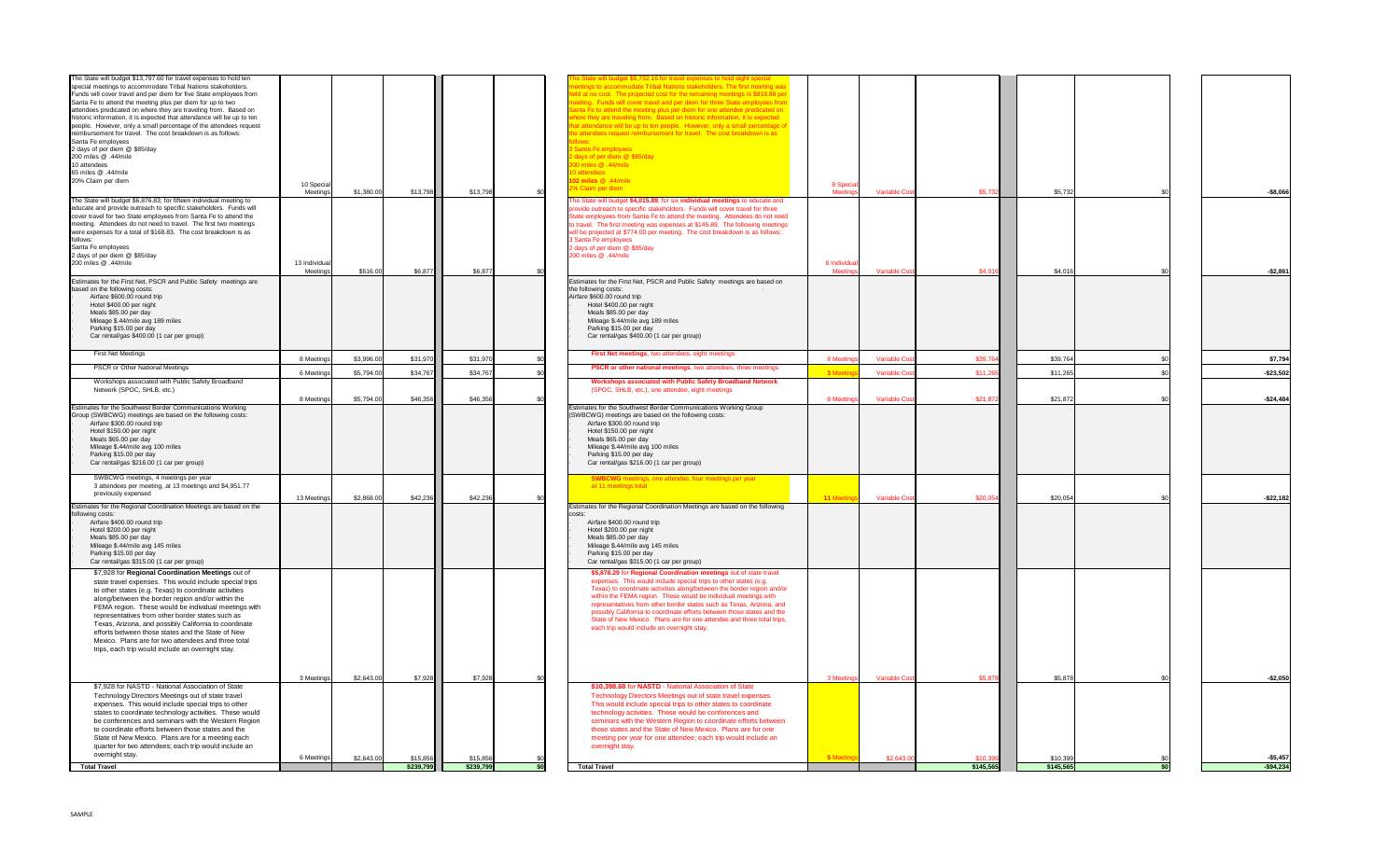

| The State will budget \$13,797.60 for travel expenses to hold ten<br>special meetings to accommodate Tribal Nations stakeholders.<br>Funds will cover travel and per diem for five State employees from<br>Santa Fe to attend the meeting plus per diem for up to two<br>attendees predicated on where they are traveling from. Based on<br>historic information, it is expected that attendance will be up to ten<br>people. However, only a small percentage of the attendees request<br>reimbursement for travel. The cost breakdown is as follows:<br>Santa Fe employees<br>2 days of per diem @ \$85/day<br>200 miles @ .44/mile<br>10 attendees<br>65 miles @ .44/mile<br>20% Claim per diem | 10 Special<br>Meetings | \$1,380.00 | \$13,798  | \$13,798  | The State will budget \$5,732.16 for travel expenses to hold eight special<br>eetings to accommodate Tribal Nations stakeholders. The first meeting was<br>leld at no cost. The projected cost for the remaining meetings is \$818.88 per<br>neeting. Funds will cover travel and per diem for three State employees from<br>Santa Fe to attend the meeting plus per diem for one attendee predicated on<br>where they are traveling from. Based on historic information, it is expected<br>that attendance will be up to ten people. However, only a small percentage of<br>the attendees request reimbursement for travel. The cost breakdown is as<br>3 Santa Fe employees<br>2 days of per diem @ \$85/day<br>44/miles @ .44/mile<br>10 attendees<br>102 miles @ .44/mile<br>2% Claim per diem | 8 Specia<br>Meeting | <b>Variable Cost</b> | \$5,732   | \$5,732   | $-$8,066$    |
|----------------------------------------------------------------------------------------------------------------------------------------------------------------------------------------------------------------------------------------------------------------------------------------------------------------------------------------------------------------------------------------------------------------------------------------------------------------------------------------------------------------------------------------------------------------------------------------------------------------------------------------------------------------------------------------------------|------------------------|------------|-----------|-----------|----------------------------------------------------------------------------------------------------------------------------------------------------------------------------------------------------------------------------------------------------------------------------------------------------------------------------------------------------------------------------------------------------------------------------------------------------------------------------------------------------------------------------------------------------------------------------------------------------------------------------------------------------------------------------------------------------------------------------------------------------------------------------------------------------|---------------------|----------------------|-----------|-----------|--------------|
| The State will budget \$6,876.83; for fifteen individual meeting to<br>educate and provide outreach to specific stakeholders. Funds will<br>cover travel for two State employees from Santa Fe to attend the<br>meeting. Attendees do not need to travel. The first two meetings<br>were expenses for a total of \$168.83. The cost breakdown is as<br>follows:<br>Santa Fe employees<br>2 days of per diem @ \$85/day<br>200 miles @ .44/mile                                                                                                                                                                                                                                                     | 13 Individual          |            |           |           | The State will budget \$4,015.89; for six individual meetings to educate and<br>provide outreach to specific stakeholders. Funds will cover travel for three<br>State employees from Santa Fe to attend the meeting. Attendees do not need<br>to travel. The first meeting was expenses at \$145.89. The following meetings<br>will be projected at \$774.00 per meeting. The cost breakdown is as follows:<br>3 Santa Fe employees<br>2 days of per diem @ \$85/day<br>200 miles @ .44/mile                                                                                                                                                                                                                                                                                                       | 6 Individua         |                      |           |           |              |
|                                                                                                                                                                                                                                                                                                                                                                                                                                                                                                                                                                                                                                                                                                    | Meetinas               | \$516.00   | \$6,877   | \$6,877   |                                                                                                                                                                                                                                                                                                                                                                                                                                                                                                                                                                                                                                                                                                                                                                                                    | Meeting             | <b>Variable Cost</b> | \$4,016   | \$4,016   | $-$ \$2,861  |
| Estimates for the First Net, PSCR and Public Safety meetings are<br>based on the following costs:<br>Airfare \$600.00 round trip<br>Hotel \$400.00 per night<br>Meals \$85.00 per day<br>Mileage \$.44/mile avg 189 miles<br>Parking \$15.00 per day<br>Car rental/gas \$400.00 (1 car per group)                                                                                                                                                                                                                                                                                                                                                                                                  |                        |            |           |           | Estimates for the First Net, PSCR and Public Safety meetings are based on<br>the following costs:<br>Airfare \$600.00 round trip<br>Hotel \$400.00 per night<br>Meals \$85.00 per day<br>Mileage \$.44/mile avg 189 miles<br>Parking \$15.00 per day<br>Car rental/gas \$400.00 (1 car per group)                                                                                                                                                                                                                                                                                                                                                                                                                                                                                                  |                     |                      |           |           |              |
| <b>First Net Meetings</b>                                                                                                                                                                                                                                                                                                                                                                                                                                                                                                                                                                                                                                                                          | 8 Meetings             | \$3,996.00 | \$31,970  | \$31,970  | <b>First Net meetings, two attendees, eight meetings</b>                                                                                                                                                                                                                                                                                                                                                                                                                                                                                                                                                                                                                                                                                                                                           | 8 Meetings          | <b>Variable Cos</b>  | \$39,764  | \$39,764  | \$7,794      |
| <b>PSCR or Other National Meetings</b>                                                                                                                                                                                                                                                                                                                                                                                                                                                                                                                                                                                                                                                             | 6 Meetings             | \$5,794.00 | \$34,767  | \$34,767  | PSCR or other national meetings, two attendees, three meetings                                                                                                                                                                                                                                                                                                                                                                                                                                                                                                                                                                                                                                                                                                                                     | 3 Meeting           | <b>Variable Cost</b> | \$11,265  | \$11,265  | $-$23,502$   |
| Workshops associated with Public Safety Broadband<br>Network (SPOC, SHLB, etc.)                                                                                                                                                                                                                                                                                                                                                                                                                                                                                                                                                                                                                    | 8 Meetings             | \$5,794.00 | \$46,356  | \$46,356  | Workshops associated with Public Safety Broadband Network<br>(SPOC, SHLB, etc.), one attendee, eight meetings                                                                                                                                                                                                                                                                                                                                                                                                                                                                                                                                                                                                                                                                                      | 8 Meetings          | <b>Variable Cos</b>  | \$21,872  | \$21,872  | $-$24,484$   |
| Estimates for the Southwest Border Communications Working<br>Group (SWBCWG) meetings are based on the following costs:<br>Airfare \$300.00 round trip<br>Hotel \$150.00 per night<br>Meals \$65.00 per day<br>Mileage \$.44/mile avg 100 miles<br>Parking \$15.00 per day<br>Car rental/gas \$216.00 (1 car per group)                                                                                                                                                                                                                                                                                                                                                                             |                        |            |           |           | Estimates for the Southwest Border Communications Working Group<br>(SWBCWG) meetings are based on the following costs:<br>Airfare \$300.00 round trip<br>Hotel \$150.00 per night<br>Meals \$65.00 per day<br>Mileage \$.44/mile avg 100 miles<br>Parking \$15.00 per day<br>Car rental/gas \$216.00 (1 car per group)                                                                                                                                                                                                                                                                                                                                                                                                                                                                             |                     |                      |           |           |              |
| SWBCWG meetings, 4 meetings per year<br>3 attendees per meeting, at 13 meetings and \$4,951.77<br>previously expensed                                                                                                                                                                                                                                                                                                                                                                                                                                                                                                                                                                              | 13 Meetings            | \$2,868.00 | \$42,236  | \$42,236  | <b>SWBCWG</b> meetings, one attendee, four meetings per year<br>at 11 meetings total                                                                                                                                                                                                                                                                                                                                                                                                                                                                                                                                                                                                                                                                                                               | 11 Meeti            | <b>Variable Cos</b>  | \$20,054  | \$20,054  | $-$ \$22,182 |
| Estimates for the Regional Coordination Meetings are based on the<br>following costs:<br>Airfare \$400.00 round trip<br>Hotel \$200.00 per night<br>Meals \$85.00 per day<br>Mileage \$.44/mile avg 145 miles<br>Parking \$15.00 per day<br>Car rental/gas \$315.00 (1 car per group)                                                                                                                                                                                                                                                                                                                                                                                                              |                        |            |           |           | Estimates for the Regional Coordination Meetings are based on the following<br>Airfare \$400.00 round trip<br>Hotel \$200.00 per night<br>Meals \$85.00 per day<br>Mileage \$.44/mile avg 145 miles<br>Parking \$15.00 per day<br>Car rental/gas \$315.00 (1 car per group)                                                                                                                                                                                                                                                                                                                                                                                                                                                                                                                        |                     |                      |           |           |              |
| \$7,928 for Regional Coordination Meetings out of<br>state travel expenses. This would include special trips<br>to other states (e.g. Texas) to coordinate activities<br>along/between the border region and/or within the<br>FEMA region. These would be individual meetings with<br>representatives from other border states such as<br>Texas, Arizona, and possibly California to coordinate<br>efforts between those states and the State of New<br>Mexico. Plans are for two attendees and three total<br>trips, each trip would include an overnight stay.                                                                                                                                   |                        |            |           |           | \$5,878.29 for Regional Coordination meetings out of state travel<br>expenses. This would include special trips to other states (e.g.<br>Texas) to coordinate activities along/between the border region and/or<br>within the FEMA region. These would be individual meetings with<br>representatives from other border states such as Texas, Arizona, and<br>possibly California to coordinate efforts between those states and the<br>State of New Mexico. Plans are for one attendee and three total trips,<br>each trip would include an overnight stay.                                                                                                                                                                                                                                       |                     |                      |           |           |              |
|                                                                                                                                                                                                                                                                                                                                                                                                                                                                                                                                                                                                                                                                                                    | 3 Meetings             | \$2,643.00 | \$7,928   | \$7,928   |                                                                                                                                                                                                                                                                                                                                                                                                                                                                                                                                                                                                                                                                                                                                                                                                    | 3 Meetings          | <b>Variable Cost</b> | \$5,878   | \$5,878   | $-$2,050$    |
| \$7,928 for NASTD - National Association of State<br>Technology Directors Meetings out of state travel<br>expenses. This would include special trips to other<br>states to coordinate technology activities. These would<br>be conferences and seminars with the Western Region<br>to coordinate efforts between those states and the<br>State of New Mexico. Plans are for a meeting each<br>quarter for two attendees; each trip would include an                                                                                                                                                                                                                                                |                        |            |           |           | \$10,398.68 for NASTD - National Association of State<br>Technology Directors Meetings out of state travel expenses.<br>This would include special trips to other states to coordinate<br>technology activities. These would be conferences and<br>seminars with the Western Region to coordinate efforts between<br>those states and the State of New Mexico. Plans are for one<br>meeting per year for one attendee; each trip would include an<br>overnight stay.                                                                                                                                                                                                                                                                                                                               |                     |                      |           |           |              |
| overnight stay.                                                                                                                                                                                                                                                                                                                                                                                                                                                                                                                                                                                                                                                                                    | 6 Meetings             | \$2,643.00 | \$15,856  | \$15,856  |                                                                                                                                                                                                                                                                                                                                                                                                                                                                                                                                                                                                                                                                                                                                                                                                    | 5 Meetin            | \$2,643.0            | \$10,399  | \$10,399  | $-$5,457$    |
| <b>Total Travel</b>                                                                                                                                                                                                                                                                                                                                                                                                                                                                                                                                                                                                                                                                                |                        |            | \$239,799 | \$239,799 | <b>Total Travel</b>                                                                                                                                                                                                                                                                                                                                                                                                                                                                                                                                                                                                                                                                                                                                                                                |                     |                      | \$145,565 | \$145,565 | $-$94,234$   |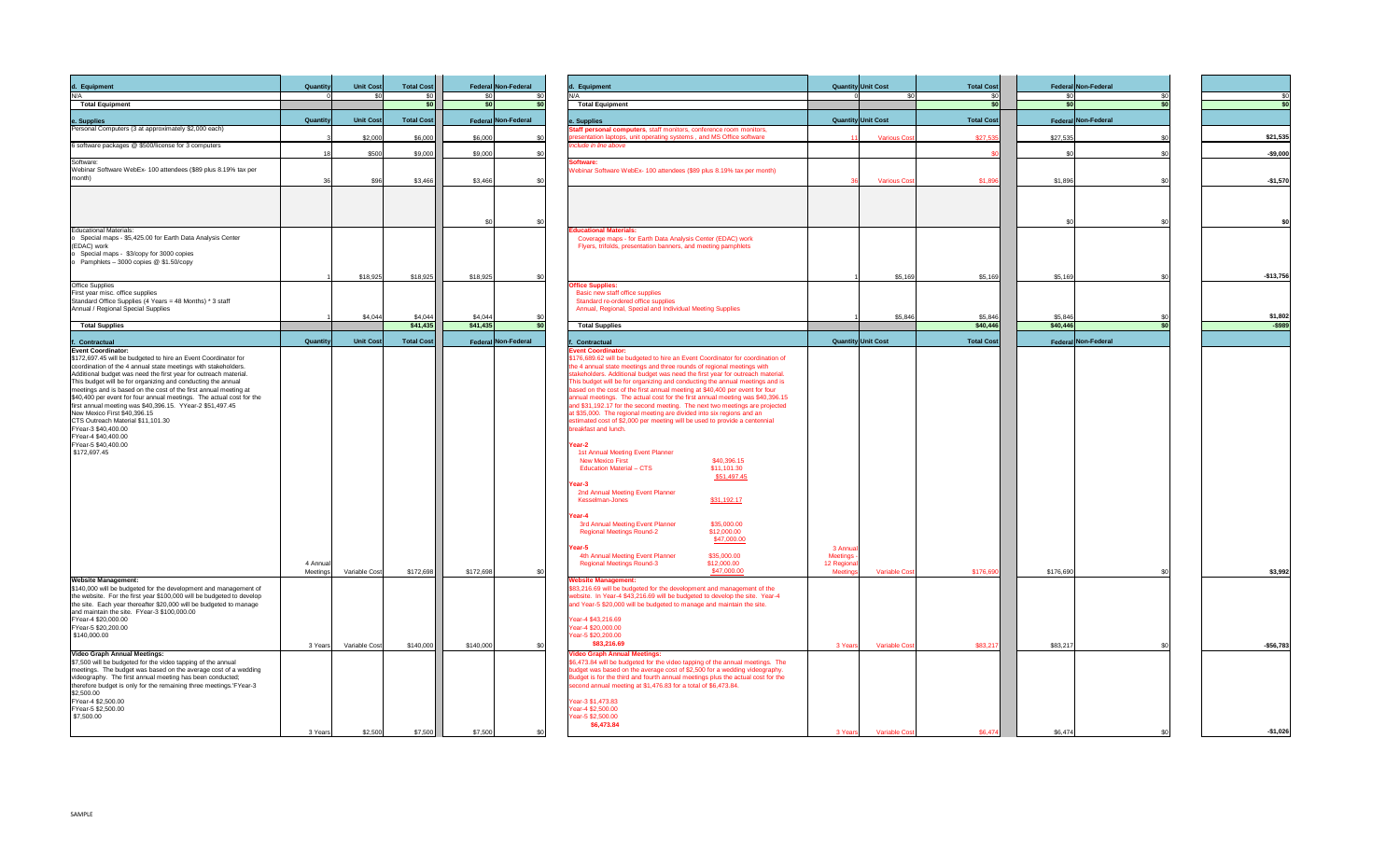

| d. Equipment                                                                                                                              | <b>Quantity</b>      | Unit Cost        | <b>Total Cost</b> | Federal Non-Federal        | d. Equipment                                                                                                                                                   | <b>Quantity Unit Cost</b>                      | <b>Total Cost</b> | Federal Non-Federal |            |
|-------------------------------------------------------------------------------------------------------------------------------------------|----------------------|------------------|-------------------|----------------------------|----------------------------------------------------------------------------------------------------------------------------------------------------------------|------------------------------------------------|-------------------|---------------------|------------|
|                                                                                                                                           |                      |                  |                   | cn                         | N/A<br><b>Total Equipment</b>                                                                                                                                  |                                                | ¢Ω                |                     |            |
| <b>Total Equipment</b>                                                                                                                    |                      |                  |                   |                            |                                                                                                                                                                |                                                |                   |                     |            |
| e. Supplies<br>Personal Computers (3 at approximately \$2,000 each)                                                                       | Quantity             | <b>Unit Cost</b> | <b>Total Cost</b> | Federal Non-Federal        | e. Supplies<br>Staff personal computers, staff monitors, conference room monitors,                                                                             | <b>Quantity Unit Cost</b>                      | <b>Total Cost</b> | Federal Non-Federal |            |
|                                                                                                                                           |                      | \$2,000          | \$6,000           | \$6,000                    | presentation laptops, unit operating systems, and MS Office software                                                                                           | <b>Various Cos</b>                             | \$27,535          | \$27,535            | \$21,535   |
| 6 software packages @ \$500/license for 3 computers                                                                                       |                      | \$500            | \$9,000           | \$9,000                    | Include in line above                                                                                                                                          |                                                |                   |                     | -\$9,000   |
| Software:                                                                                                                                 |                      |                  |                   |                            | <b>Software:</b>                                                                                                                                               |                                                |                   |                     |            |
| Webinar Software WebEx-100 attendees (\$89 plus 8.19% tax per<br>month)                                                                   |                      |                  |                   |                            | Webinar Software WebEx- 100 attendees (\$89 plus 8.19% tax per month)                                                                                          |                                                |                   |                     |            |
|                                                                                                                                           |                      | \$96             | \$3,466           | \$3,466                    |                                                                                                                                                                | <b>Various Cos</b>                             | \$1,896           | \$1,896             | $-$1,570$  |
|                                                                                                                                           |                      |                  |                   |                            |                                                                                                                                                                |                                                |                   |                     |            |
|                                                                                                                                           |                      |                  |                   |                            |                                                                                                                                                                |                                                |                   |                     |            |
|                                                                                                                                           |                      |                  |                   |                            |                                                                                                                                                                |                                                |                   |                     |            |
| <b>Educational Materials:</b><br>Special maps - \$5,425.00 for Earth Data Analysis Center                                                 |                      |                  |                   |                            | <b>Educational Materials:</b><br>Coverage maps - for Earth Data Analysis Center (EDAC) work                                                                    |                                                |                   |                     |            |
| (EDAC) work                                                                                                                               |                      |                  |                   |                            | Flyers, trifolds, presentation banners, and meeting pamphlets                                                                                                  |                                                |                   |                     |            |
| Special maps - \$3/copy for 3000 copies<br>Pamphlets - 3000 copies @ \$1.50/copy                                                          |                      |                  |                   |                            |                                                                                                                                                                |                                                |                   |                     |            |
|                                                                                                                                           |                      |                  |                   |                            |                                                                                                                                                                |                                                |                   | \$5,169             |            |
| <b>Office Supplies</b>                                                                                                                    |                      | \$18,925         | \$18,925          | \$18,925                   | <b>Office Supplies:</b>                                                                                                                                        | \$5,169                                        | \$5,169           |                     | $-$13,756$ |
| First year misc. office supplies                                                                                                          |                      |                  |                   |                            | Basic new staff office supplies                                                                                                                                |                                                |                   |                     |            |
| Standard Office Supplies (4 Years = 48 Months) * 3 staff<br>Annual / Regional Special Supplies                                            |                      |                  |                   |                            | Standard re-ordered office supplies<br>Annual, Regional, Special and Individual Meeting Supplies                                                               |                                                |                   |                     |            |
|                                                                                                                                           |                      | \$4,044          | \$4,044           | \$4,044                    |                                                                                                                                                                | \$5,846                                        | \$5,846           | \$5,846             | \$1,802    |
| <b>Total Supplies</b>                                                                                                                     |                      |                  | \$41,435          | \$41,435                   | <b>Total Supplies</b>                                                                                                                                          |                                                | \$40,446          | \$40,446            |            |
| f. Contractual                                                                                                                            | <b>Quantity</b>      | <b>Unit Cost</b> | <b>Total Cost</b> | <b>Federal Non-Federal</b> | <b>Contractual</b>                                                                                                                                             | <b>Quantity Unit Cost</b>                      | <b>Total Cost</b> | Federal Non-Federal |            |
| <b>Event Coordinator:</b><br>\$172,697.45 will be budgeted to hire an Event Coordinator for                                               |                      |                  |                   |                            | <b>Event Coordinator:</b><br>\$176,689.62 will be budgeted to hire an Event Coordinator for coordination of                                                    |                                                |                   |                     |            |
| coordination of the 4 annual state meetings with stakeholders.                                                                            |                      |                  |                   |                            | the 4 annual state meetings and three rounds of regional meetings with                                                                                         |                                                |                   |                     |            |
| Additional budget was need the first year for outreach material.<br>This budget will be for organizing and conducting the annual          |                      |                  |                   |                            | stakeholders. Additional budget was need the first year for outreach material.<br>This budget will be for organizing and conducting the annual meetings and is |                                                |                   |                     |            |
| meetings and is based on the cost of the first annual meeting at                                                                          |                      |                  |                   |                            | based on the cost of the first annual meeting at \$40,400 per event for four                                                                                   |                                                |                   |                     |            |
| \$40,400 per event for four annual meetings. The actual cost for the<br>first annual meeting was \$40,396.15. YYear-2 \$51,497.45         |                      |                  |                   |                            | annual meetings. The actual cost for the first annual meeting was \$40,396.15<br>and \$31,192.17 for the second meeting. The next two meetings are projected   |                                                |                   |                     |            |
| New Mexico First \$40,396.15                                                                                                              |                      |                  |                   |                            | at \$35,000. The regional meeting are divided into six regions and an                                                                                          |                                                |                   |                     |            |
| CTS Outreach Material \$11,101.30<br>FYear-3 \$40,400.00                                                                                  |                      |                  |                   |                            | estimated cost of \$2,000 per meeting will be used to provide a centennial<br>breakfast and lunch.                                                             |                                                |                   |                     |            |
| FYear-4 \$40,400.00                                                                                                                       |                      |                  |                   |                            |                                                                                                                                                                |                                                |                   |                     |            |
| FYear-5 \$40,400.00<br>\$172,697.45                                                                                                       |                      |                  |                   |                            | Year-2<br>1st Annual Meeting Event Planner                                                                                                                     |                                                |                   |                     |            |
|                                                                                                                                           |                      |                  |                   |                            | <b>New Mexico First</b><br>\$40,396.15                                                                                                                         |                                                |                   |                     |            |
|                                                                                                                                           |                      |                  |                   |                            | \$11,101.30<br><b>Education Material - CTS</b><br>\$51,497.45                                                                                                  |                                                |                   |                     |            |
|                                                                                                                                           |                      |                  |                   |                            | Year-3                                                                                                                                                         |                                                |                   |                     |            |
|                                                                                                                                           |                      |                  |                   |                            | 2nd Annual Meeting Event Planner<br>\$31,192.17<br>Kesselman-Jones                                                                                             |                                                |                   |                     |            |
|                                                                                                                                           |                      |                  |                   |                            |                                                                                                                                                                |                                                |                   |                     |            |
|                                                                                                                                           |                      |                  |                   |                            | Year-4<br>3rd Annual Meeting Event Planner<br>\$35,000.00                                                                                                      |                                                |                   |                     |            |
|                                                                                                                                           |                      |                  |                   |                            | <b>Regional Meetings Round-2</b><br>\$12,000.00                                                                                                                |                                                |                   |                     |            |
|                                                                                                                                           |                      |                  |                   |                            | <u>\$47,000.00</u><br>Year-5                                                                                                                                   | 3 Annua                                        |                   |                     |            |
|                                                                                                                                           |                      |                  |                   |                            | 4th Annual Meeting Event Planner<br>\$35,000.00                                                                                                                | Meetings                                       |                   |                     |            |
|                                                                                                                                           | 4 Annual<br>Meetings | Variable Cost    | \$172,698         | \$172,698                  | \$12,000.00<br><b>Regional Meetings Round-3</b><br>\$47,000.00                                                                                                 | 12 Regional<br>Meeting<br><b>Variable Cost</b> | \$176,690         | \$176,690           | \$3,992    |
| <b>Website Management:</b>                                                                                                                |                      |                  |                   |                            | <b>Website Management:</b>                                                                                                                                     |                                                |                   |                     |            |
| \$140,000 will be budgeted for the development and management of<br>the website. For the first year \$100,000 will be budgeted to develop |                      |                  |                   |                            | \$83,216.69 will be budgeted for the development and management of the<br>website. In Year-4 \$43,216.69 will be budgeted to develop the site. Year-4          |                                                |                   |                     |            |
| the site. Each year thereafter \$20,000 will be budgeted to manage                                                                        |                      |                  |                   |                            | and Year-5 \$20,000 will be budgeted to manage and maintain the site.                                                                                          |                                                |                   |                     |            |
| and maintain the site. FYear-3 \$100,000.00<br>FYear-4 \$20,000.00                                                                        |                      |                  |                   |                            | Year-4 \$43,216.69                                                                                                                                             |                                                |                   |                     |            |
| FYear-5 \$20,200.00                                                                                                                       |                      |                  |                   |                            | Year-4 \$20,000.00                                                                                                                                             |                                                |                   |                     |            |
| \$140,000.00                                                                                                                              |                      |                  |                   |                            | Year-5 \$20,200.00<br>\$83,216.69                                                                                                                              |                                                |                   |                     |            |
| <b>Video Graph Annual Meetings:</b>                                                                                                       | 3 Years              | Variable Cost    | \$140,000         | \$140,000                  | <b>Video Graph Annual Meetings:</b>                                                                                                                            | 3 Years<br><b>Variable Cost</b>                | \$83,217          | \$83,217            | $-$56,783$ |
| \$7,500 will be budgeted for the video tapping of the annual                                                                              |                      |                  |                   |                            | \$6,473.84 will be budgeted for the video tapping of the annual meetings. The                                                                                  |                                                |                   |                     |            |
| meetings. The budget was based on the average cost of a wedding<br>videography. The first annual meeting has been conducted;              |                      |                  |                   |                            | budget was based on the average cost of \$2,500 for a wedding videography.<br>Budget is for the third and fourth annual meetings plus the actual cost for the  |                                                |                   |                     |            |
| therefore budget is only for the remaining three meetings.'FYear-3                                                                        |                      |                  |                   |                            | second annual meeting at \$1,476.83 for a total of \$6,473.84.                                                                                                 |                                                |                   |                     |            |
| \$2,500.00<br>FYear-4 \$2,500.00                                                                                                          |                      |                  |                   |                            | Year-3 \$1,473.83                                                                                                                                              |                                                |                   |                     |            |
| FYear-5 \$2,500.00                                                                                                                        |                      |                  |                   |                            | Year-4 \$2,500.00                                                                                                                                              |                                                |                   |                     |            |
| \$7,500.00                                                                                                                                |                      |                  |                   |                            | Year-5 \$2,500.00<br>\$6,473.84                                                                                                                                |                                                |                   |                     |            |
|                                                                                                                                           | 3 Years              | \$2,500          | \$7,500           | \$7,500                    |                                                                                                                                                                | <b>Variable Cost</b><br>3 Years                | \$6,474           | \$6,474             | $-$1,026$  |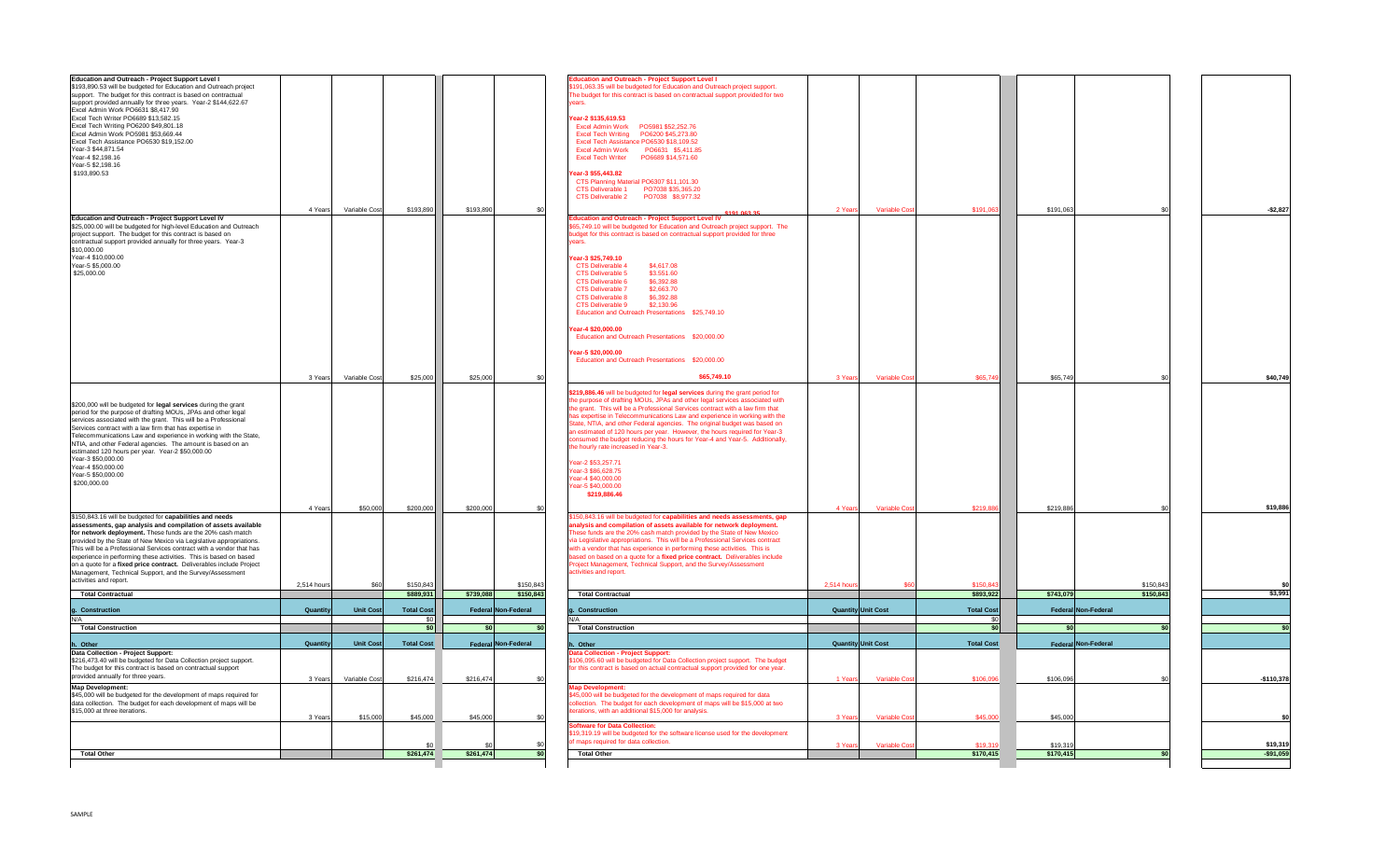| <b>Total Other</b>                                                                                                                                                                                                                                                                                                                                                                                                                                                                                                                                |                    |                                | 30 <br>\$261,474       | \$261,474             |                        | <b>Total Other</b>                                                                                                                                                                                                                                                                                                                                                                                                                                                                                                                                                                                                                                                                                                                                                                                                                        | <b>Variable Cost</b><br>3 Years                                    | \$19,319<br>\$170,415  | \$19,319<br>\$170,415               | \$19,319<br>$-$91,059$  |
|---------------------------------------------------------------------------------------------------------------------------------------------------------------------------------------------------------------------------------------------------------------------------------------------------------------------------------------------------------------------------------------------------------------------------------------------------------------------------------------------------------------------------------------------------|--------------------|--------------------------------|------------------------|-----------------------|------------------------|-------------------------------------------------------------------------------------------------------------------------------------------------------------------------------------------------------------------------------------------------------------------------------------------------------------------------------------------------------------------------------------------------------------------------------------------------------------------------------------------------------------------------------------------------------------------------------------------------------------------------------------------------------------------------------------------------------------------------------------------------------------------------------------------------------------------------------------------|--------------------------------------------------------------------|------------------------|-------------------------------------|-------------------------|
|                                                                                                                                                                                                                                                                                                                                                                                                                                                                                                                                                   |                    |                                |                        |                       |                        | <b>Software for Data Collection:</b><br>\$19,319.19 will be budgeted for the software license used for the development<br>of maps required for data collection.                                                                                                                                                                                                                                                                                                                                                                                                                                                                                                                                                                                                                                                                           |                                                                    |                        |                                     |                         |
| <b>Map Development:</b><br>\$45,000 will be budgeted for the development of maps required for<br>data collection. The budget for each development of maps will be<br>\$15,000 at three iterations.                                                                                                                                                                                                                                                                                                                                                | 3 Years            | \$15,000                       | \$45,000               | \$45,000              |                        | <b>Map Development:</b><br>\$45,000 will be budgeted for the development of maps required for data<br>collection. The budget for each development of maps will be \$15,000 at two<br>iterations, with an additional \$15,000 for analysis.                                                                                                                                                                                                                                                                                                                                                                                                                                                                                                                                                                                                | 3 Years<br><b>Variable Cost</b>                                    | \$45,000               | \$45,000                            |                         |
| The budget for this contract is based on contractual support<br>provided annually for three years.                                                                                                                                                                                                                                                                                                                                                                                                                                                | 3 Years            | Variable Cost                  | \$216,474              | \$216,474             |                        | for this contract is based on actual contractual support provided for one year.                                                                                                                                                                                                                                                                                                                                                                                                                                                                                                                                                                                                                                                                                                                                                           | <b>Variable Cost</b><br>1 Years                                    | \$106,096              | \$106,096                           | $-$110,378$             |
| h. Other<br>Data Collection - Project Support:<br>\$216,473.40 will be budgeted for Data Collection project support.                                                                                                                                                                                                                                                                                                                                                                                                                              | Quantity           | <b>Unit Cost</b>               | <b>Total Cost</b>      |                       | Federal Non-Federal    | h. Other<br><b>Data Collection - Project Support:</b><br>\$106,095.60 will be budgeted for Data Collection project support. The budget                                                                                                                                                                                                                                                                                                                                                                                                                                                                                                                                                                                                                                                                                                    | <b>Quantity Unit Cost</b>                                          | <b>Total Cost</b>      | Federal Non-Federal                 |                         |
| <b>Total Construction</b>                                                                                                                                                                                                                                                                                                                                                                                                                                                                                                                         |                    |                                |                        |                       |                        | <b>Total Construction</b>                                                                                                                                                                                                                                                                                                                                                                                                                                                                                                                                                                                                                                                                                                                                                                                                                 |                                                                    |                        | \$0 <sub>1</sub>                    |                         |
|                                                                                                                                                                                                                                                                                                                                                                                                                                                                                                                                                   |                    |                                |                        |                       | ⊾∩ר                    |                                                                                                                                                                                                                                                                                                                                                                                                                                                                                                                                                                                                                                                                                                                                                                                                                                           |                                                                    |                        |                                     |                         |
| g. Construction                                                                                                                                                                                                                                                                                                                                                                                                                                                                                                                                   | <b>Quantity</b>    | <b>Unit Cost</b>               | <b>Total Cost</b>      |                       | Federal Non-Federal    | <b>Construction</b>                                                                                                                                                                                                                                                                                                                                                                                                                                                                                                                                                                                                                                                                                                                                                                                                                       | <b>Quantity Unit Cost</b>                                          | <b>Total Cost</b>      | Federal Non-Federal                 |                         |
| This will be a Professional Services contract with a vendor that has<br>experience in performing these activities. This is based on based<br>on a quote for a fixed price contract. Deliverables include Project<br>Management, Technical Support, and the Survey/Assessment<br>activities and report.<br><b>Total Contractual</b>                                                                                                                                                                                                                | 2,514 hours        | \$60                           | \$150,843<br>\$889,931 | \$739,088             | \$150,843<br>\$150,843 | with a vendor that has experience in performing these activities. This is<br>based on based on a quote for a fixed price contract. Deliverables include<br>Project Management, Technical Support, and the Survey/Assessment<br>activities and report.<br><b>Total Contractual</b>                                                                                                                                                                                                                                                                                                                                                                                                                                                                                                                                                         | 2,514 hour                                                         | \$150,843<br>\$893,922 | \$150,843<br>\$743,079<br>\$150,843 | \$3,991                 |
| \$150,843.16 will be budgeted for capabilities and needs<br>assessments, gap analysis and compilation of assets available<br>for network deployment. These funds are the 20% cash match<br>provided by the State of New Mexico via Legislative appropriations.                                                                                                                                                                                                                                                                                    | 4 Years            | \$50,000                       | \$200,000              | \$200,000             |                        | \$150,843.16 will be budgeted for capabilities and needs assessments, gap<br>analysis and compilation of assets available for network deployment.<br>These funds are the 20% cash match provided by the State of New Mexico<br>via Legislative appropriations. This will be a Professional Services contract                                                                                                                                                                                                                                                                                                                                                                                                                                                                                                                              | <b>Variable Cost</b><br>4 Years                                    | \$219,886              | \$219,886                           | \$19,886                |
| \$200,000 will be budgeted for legal services during the grant<br>period for the purpose of drafting MOUs, JPAs and other legal<br>services associated with the grant. This will be a Professional<br>Services contract with a law firm that has expertise in<br>Telecommunications Law and experience in working with the State,<br>NTIA, and other Federal agencies. The amount is based on an<br>estimated 120 hours per year. Year-2 \$50,000.00<br>Year-3 \$50,000.00<br>Year-4 \$50,000.00<br>Year-5 \$50,000.00<br>\$200,000.00            |                    |                                |                        |                       |                        | \$219,886.46 will be budgeted for legal services during the grant period for<br>the purpose of drafting MOUs, JPAs and other legal services associated with<br>the grant. This will be a Professional Services contract with a law firm that<br>has expertise in Telecommunications Law and experience in working with the<br>State, NTIA, and other Federal agencies. The original budget was based on<br>an estimated of 120 hours per year. However, the hours required for Year-3<br>consumed the budget reducing the hours for Year-4 and Year-5. Additionally,<br>the hourly rate increased in Year-3.<br>Year-2 \$53,257.71<br>Year-3 \$86,628.75<br>Year-4 \$40,000.00<br>Year-5 \$40,000.00<br>\$219,886.46                                                                                                                      |                                                                    |                        |                                     |                         |
| Education and Outreach - Project Support Level IV<br>\$25,000.00 will be budgeted for high-level Education and Outreach<br>project support. The budget for this contract is based on<br>contractual support provided annually for three years. Year-3<br>\$10,000.00<br>Year-4 \$10,000.00<br>Year-5 \$5,000.00<br>\$25,000.00                                                                                                                                                                                                                    | 4 Years<br>3 Years | Variable Cost<br>Variable Cost | \$193,890<br>\$25,000  | \$193,890<br>\$25,000 |                        | CTS Deliverable 1 PO7038 \$35,365.20<br>CTS Deliverable 2 PO7038 \$8,977.32<br>\$191,063,35<br><b>Education and Outreach - Project Support Level IV</b><br>\$65,749.10 will be budgeted for Education and Outreach project support. The<br>budget for this contract is based on contractual support provided for three<br>vears.<br>Year-3 \$25,749.10<br><b>CTS Deliverable 4</b><br>\$4,617.08<br>\$3.551.60<br><b>CTS Deliverable 5</b><br><b>CTS Deliverable 6</b><br>\$6,392.88<br><b>CTS Deliverable 7</b><br>\$2,663.70<br>\$6,392.88<br><b>CTS Deliverable 8</b><br>\$2,130.96<br><b>CTS Deliverable 9</b><br>Education and Outreach Presentations \$25,749.10<br>Year-4 \$20,000.00<br>Education and Outreach Presentations \$20,000.00<br>Year-5 \$20,000.00<br>Education and Outreach Presentations \$20,000.00<br>\$65,749.10 | 2 Years<br><b>Variable Cost</b><br>3 Years<br><b>Variable Cost</b> | \$191,063<br>\$65,749  | \$191,063<br>\$65,749               | $-$ \$2,827<br>\$40,749 |
| Education and Outreach - Project Support Level I<br>\$193,890.53 will be budgeted for Education and Outreach project<br>support. The budget for this contract is based on contractual<br>support provided annually for three years. Year-2 \$144,622.67<br>Excel Admin Work PO6631 \$8,417.90<br>Excel Tech Writer PO6689 \$13,582.15<br>Excel Tech Writing PO6200 \$49,801.18<br>Excel Admin Work PO5981 \$53,669.44<br>Excel Tech Assistance PO6530 \$19,152.00<br>Year-3 \$44,871.54<br>Year-4 \$2,198.16<br>Year-5 \$2,198.16<br>\$193,890.53 |                    |                                |                        |                       |                        | <b>Education and Outreach - Project Support Level I</b><br>\$191,063.35 will be budgeted for Education and Outreach project support.<br>The budget for this contract is based on contractual support provided for two<br>vears.<br>Year-2 \$135,619.53<br>Excel Tech Assistance PO6530 \$18,109.52<br>Excel Admin Work PO6631 \$5,411.85<br>Year-3 \$55,443.82<br>CTS Planning Material PO6307 \$11,101.30                                                                                                                                                                                                                                                                                                                                                                                                                                |                                                                    |                        |                                     |                         |

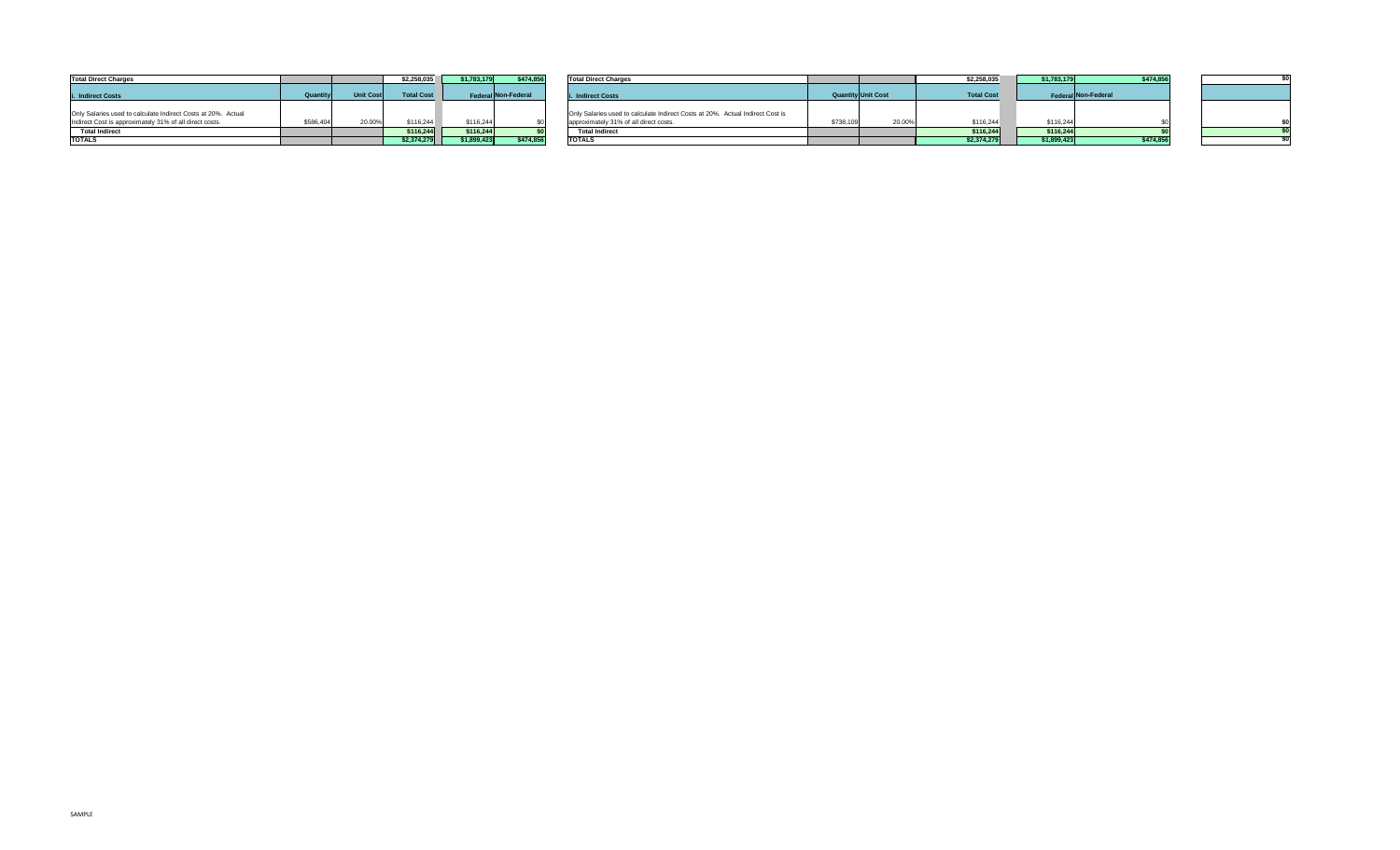

| <b>Total Direct Charges</b>                                   |                 |                  | \$2,258,035       | \$1,783,175         | \$474,856 | <b>Total Direct Charges</b>                                                    |                           | \$2,258,035       | \$1,783,179 | \$474,85            |  |
|---------------------------------------------------------------|-----------------|------------------|-------------------|---------------------|-----------|--------------------------------------------------------------------------------|---------------------------|-------------------|-------------|---------------------|--|
| i. Indirect Costs                                             | <b>Quantity</b> | <b>Unit Cost</b> | <b>Total Cost</b> | Federal Non-Federal |           | i. Indirect Costs                                                              | <b>Quantity Unit Cost</b> | <b>Total Cost</b> |             | Federal Non-Federal |  |
| Only Salaries used to calculate Indirect Costs at 20%. Actual |                 |                  |                   |                     |           | Only Salaries used to calculate Indirect Costs at 20%. Actual Indirect Cost is |                           |                   |             |                     |  |
| Indirect Cost is approximately 31% of all direct costs.       | \$586,404       | 20.00%           | \$116,244         | \$116,244           |           | approximately 31% of all direct costs.                                         | \$738,109<br>20.00%       | \$116,244         | \$116,244   |                     |  |
| <b>Total Indirect</b>                                         |                 |                  | \$116,244         | \$116,244           |           | <b>Total Indirect</b>                                                          |                           | \$116,244         | \$116,244   |                     |  |
| <b>TOTALS</b>                                                 |                 |                  | \$2,374,279       | \$1,899,423         | \$474,856 | <b>TOTALS</b>                                                                  |                           | \$2,374,279       | \$1,899,423 | \$474,85            |  |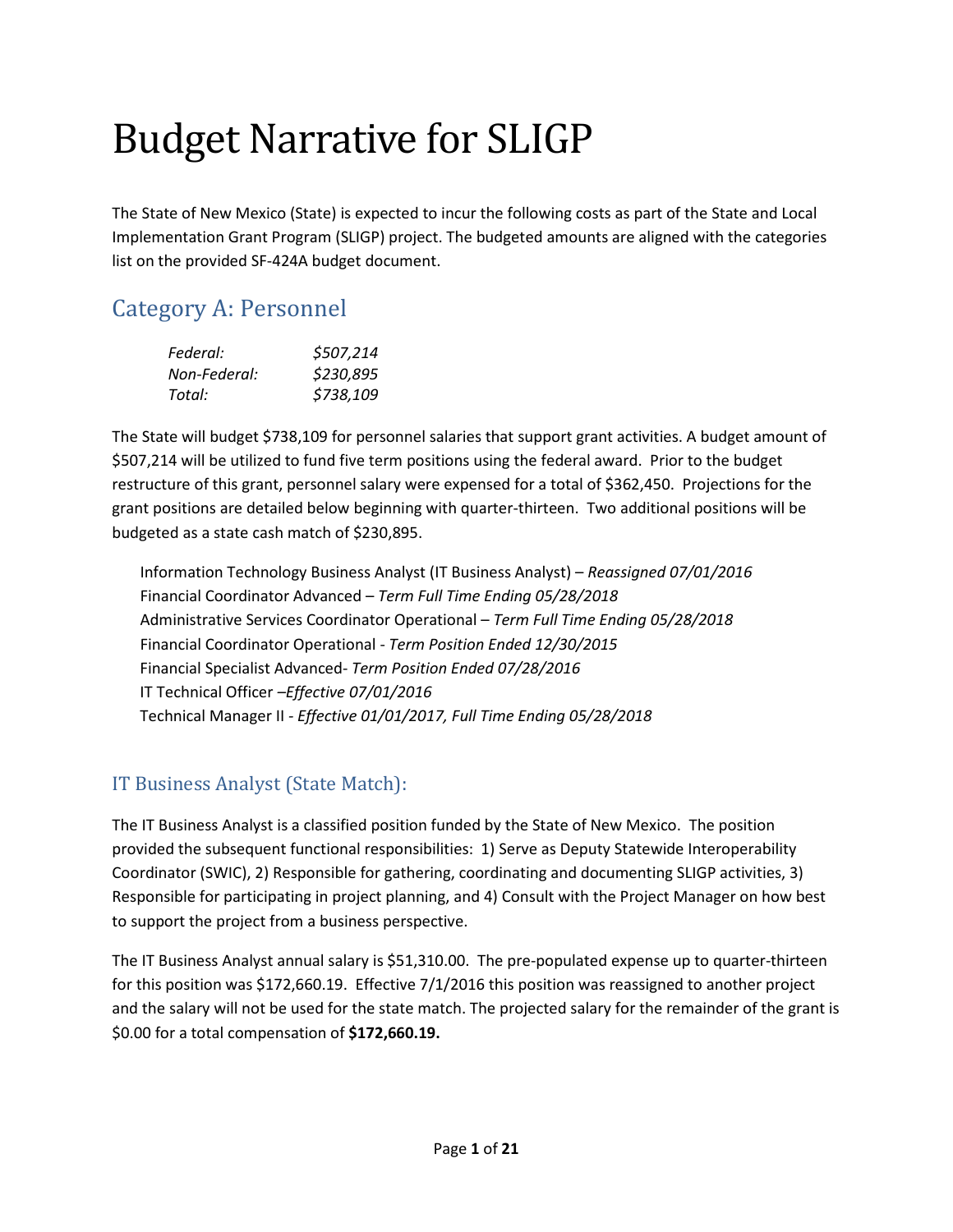# Budget Narrative for SLIGP

The State of New Mexico (State) is expected to incur the following costs as part of the State and Local Implementation Grant Program (SLIGP) project. The budgeted amounts are aligned with the categories list on the provided SF-424A budget document.

## Category A: Personnel

| Federal:     | \$507,214 |
|--------------|-----------|
| Non-Federal: | \$230,895 |
| Total:       | \$738,109 |

The State will budget \$738,109 for personnel salaries that support grant activities. A budget amount of \$507,214 will be utilized to fund five term positions using the federal award. Prior to the budget restructure of this grant, personnel salary were expensed for a total of \$362,450. Projections for the grant positions are detailed below beginning with quarter-thirteen. Two additional positions will be budgeted as a state cash match of \$230,895.

Information Technology Business Analyst (IT Business Analyst) – *Reassigned 07/01/2016* Financial Coordinator Advanced – *Term Full Time Ending 05/28/2018* Administrative Services Coordinator Operational – *Term Full Time Ending 05/28/2018* Financial Coordinator Operational - *Term Position Ended 12/30/2015*  Financial Specialist Advanced- *Term Position Ended 07/28/2016* IT Technical Officer *–Effective 07/01/2016* Technical Manager II *- Effective 01/01/2017, Full Time Ending 05/28/2018*

#### IT Business Analyst (State Match):

The IT Business Analyst is a classified position funded by the State of New Mexico. The position provided the subsequent functional responsibilities: 1) Serve as Deputy Statewide Interoperability Coordinator (SWIC), 2) Responsible for gathering, coordinating and documenting SLIGP activities, 3) Responsible for participating in project planning, and 4) Consult with the Project Manager on how best to support the project from a business perspective.

The IT Business Analyst annual salary is \$51,310.00. The pre-populated expense up to quarter-thirteen for this position was \$172,660.19. Effective 7/1/2016 this position was reassigned to another project and the salary will not be used for the state match. The projected salary for the remainder of the grant is \$0.00 for a total compensation of **\$172,660.19.**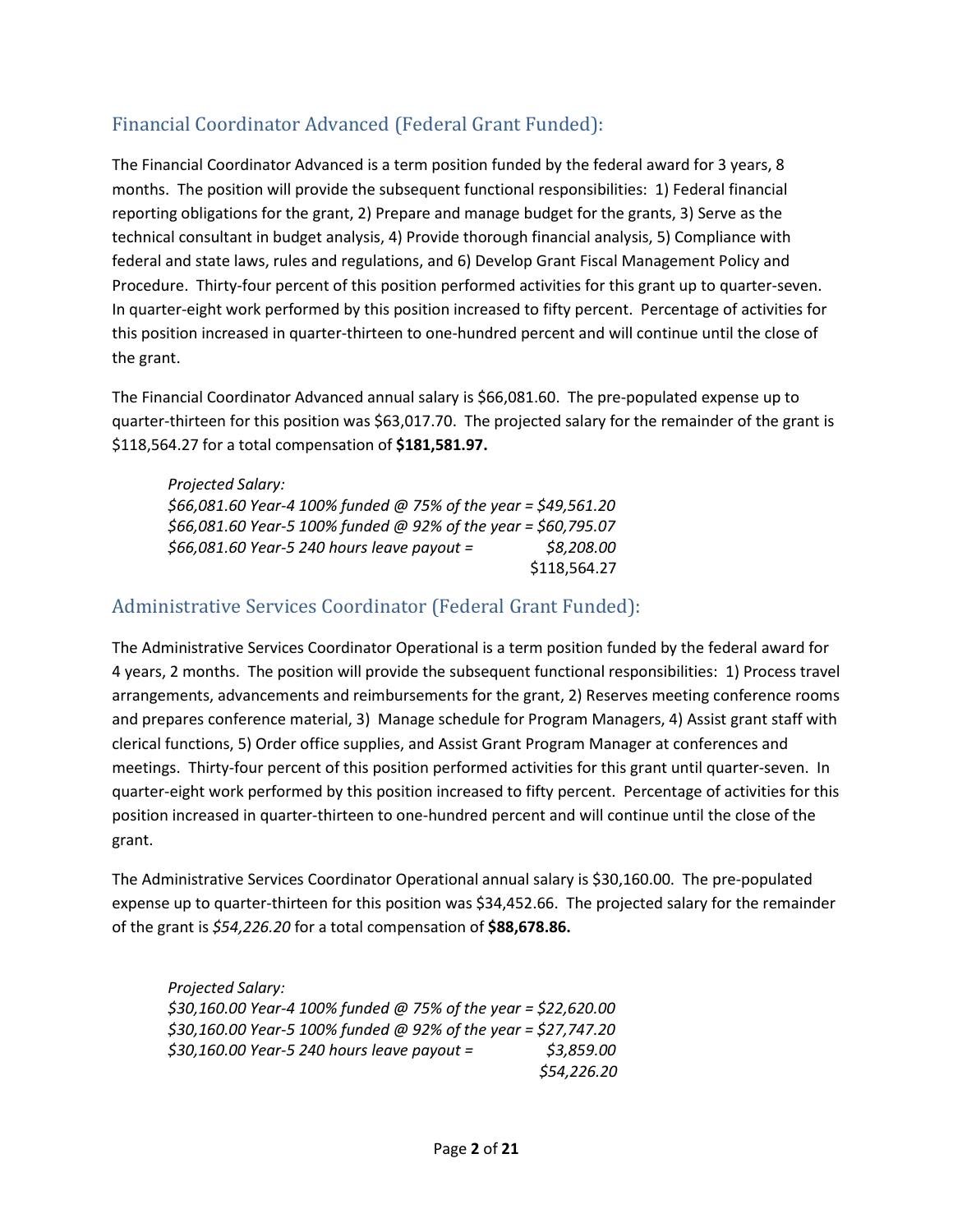#### Financial Coordinator Advanced (Federal Grant Funded):

The Financial Coordinator Advanced is a term position funded by the federal award for 3 years, 8 months. The position will provide the subsequent functional responsibilities: 1) Federal financial reporting obligations for the grant, 2) Prepare and manage budget for the grants, 3) Serve as the technical consultant in budget analysis, 4) Provide thorough financial analysis, 5) Compliance with federal and state laws, rules and regulations, and 6) Develop Grant Fiscal Management Policy and Procedure. Thirty-four percent of this position performed activities for this grant up to quarter-seven. In quarter-eight work performed by this position increased to fifty percent. Percentage of activities for this position increased in quarter-thirteen to one-hundred percent and will continue until the close of the grant.

The Financial Coordinator Advanced annual salary is \$66,081.60. The pre-populated expense up to quarter-thirteen for this position was \$63,017.70. The projected salary for the remainder of the grant is \$118,564.27 for a total compensation of **\$181,581.97.**

*Projected Salary: \$66,081.60 Year-4 100% funded @ 75% of the year = \$49,561.20 \$66,081.60 Year-5 100% funded @ 92% of the year = \$60,795.07 \$66,081.60 Year-5 240 hours leave payout = \$8,208.00* \$118,564.27

#### Administrative Services Coordinator (Federal Grant Funded):

The Administrative Services Coordinator Operational is a term position funded by the federal award for 4 years, 2 months. The position will provide the subsequent functional responsibilities: 1) Process travel arrangements, advancements and reimbursements for the grant, 2) Reserves meeting conference rooms and prepares conference material, 3) Manage schedule for Program Managers, 4) Assist grant staff with clerical functions, 5) Order office supplies, and Assist Grant Program Manager at conferences and meetings. Thirty-four percent of this position performed activities for this grant until quarter-seven. In quarter-eight work performed by this position increased to fifty percent. Percentage of activities for this position increased in quarter-thirteen to one-hundred percent and will continue until the close of the grant.

The Administrative Services Coordinator Operational annual salary is \$30,160.00. The pre-populated expense up to quarter-thirteen for this position was \$34,452.66. The projected salary for the remainder of the grant is *\$54,226.20* for a total compensation of **\$88,678.86.**

*Projected Salary: \$30,160.00 Year-4 100% funded @ 75% of the year = \$22,620.00 \$30,160.00 Year-5 100% funded @ 92% of the year = \$27,747.20 \$30,160.00 Year-5 240 hours leave payout = \$3,859.00 \$54,226.20*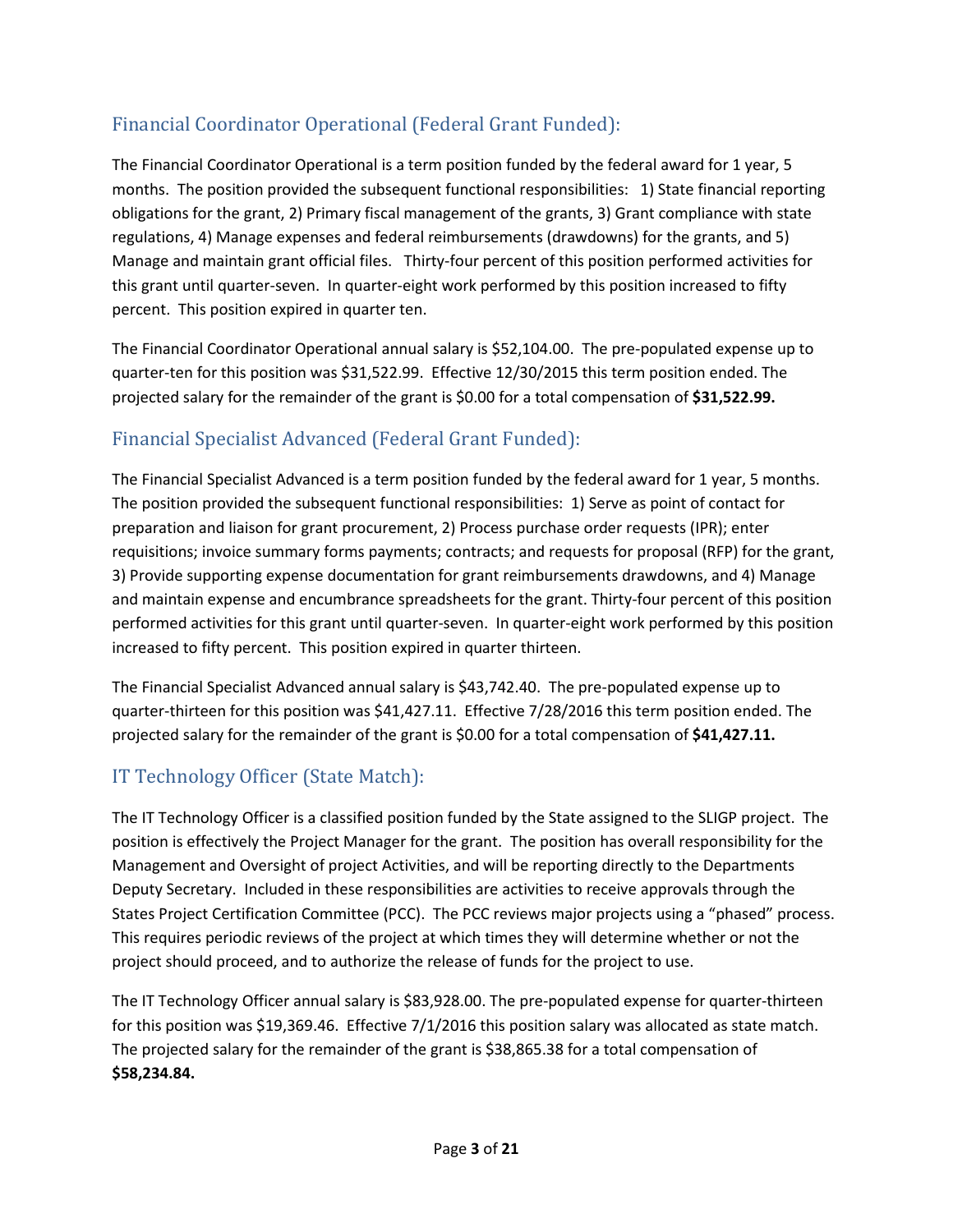### Financial Coordinator Operational (Federal Grant Funded):

The Financial Coordinator Operational is a term position funded by the federal award for 1 year, 5 months. The position provided the subsequent functional responsibilities: 1) State financial reporting obligations for the grant, 2) Primary fiscal management of the grants, 3) Grant compliance with state regulations, 4) Manage expenses and federal reimbursements (drawdowns) for the grants, and 5) Manage and maintain grant official files. Thirty-four percent of this position performed activities for this grant until quarter-seven. In quarter-eight work performed by this position increased to fifty percent. This position expired in quarter ten.

The Financial Coordinator Operational annual salary is \$52,104.00. The pre-populated expense up to quarter-ten for this position was \$31,522.99. Effective 12/30/2015 this term position ended. The projected salary for the remainder of the grant is \$0.00 for a total compensation of **\$31,522.99.**

#### Financial Specialist Advanced (Federal Grant Funded):

The Financial Specialist Advanced is a term position funded by the federal award for 1 year, 5 months. The position provided the subsequent functional responsibilities: 1) Serve as point of contact for preparation and liaison for grant procurement, 2) Process purchase order requests (IPR); enter requisitions; invoice summary forms payments; contracts; and requests for proposal (RFP) for the grant, 3) Provide supporting expense documentation for grant reimbursements drawdowns, and 4) Manage and maintain expense and encumbrance spreadsheets for the grant. Thirty-four percent of this position performed activities for this grant until quarter-seven. In quarter-eight work performed by this position increased to fifty percent. This position expired in quarter thirteen.

The Financial Specialist Advanced annual salary is \$43,742.40. The pre-populated expense up to quarter-thirteen for this position was \$41,427.11. Effective 7/28/2016 this term position ended. The projected salary for the remainder of the grant is \$0.00 for a total compensation of **\$41,427.11.**

#### IT Technology Officer (State Match):

The IT Technology Officer is a classified position funded by the State assigned to the SLIGP project. The position is effectively the Project Manager for the grant. The position has overall responsibility for the Management and Oversight of project Activities, and will be reporting directly to the Departments Deputy Secretary. Included in these responsibilities are activities to receive approvals through the States Project Certification Committee (PCC). The PCC reviews major projects using a "phased" process. This requires periodic reviews of the project at which times they will determine whether or not the project should proceed, and to authorize the release of funds for the project to use.

The IT Technology Officer annual salary is \$83,928.00. The pre-populated expense for quarter-thirteen for this position was \$19,369.46. Effective 7/1/2016 this position salary was allocated as state match. The projected salary for the remainder of the grant is \$38,865.38 for a total compensation of **\$58,234.84.**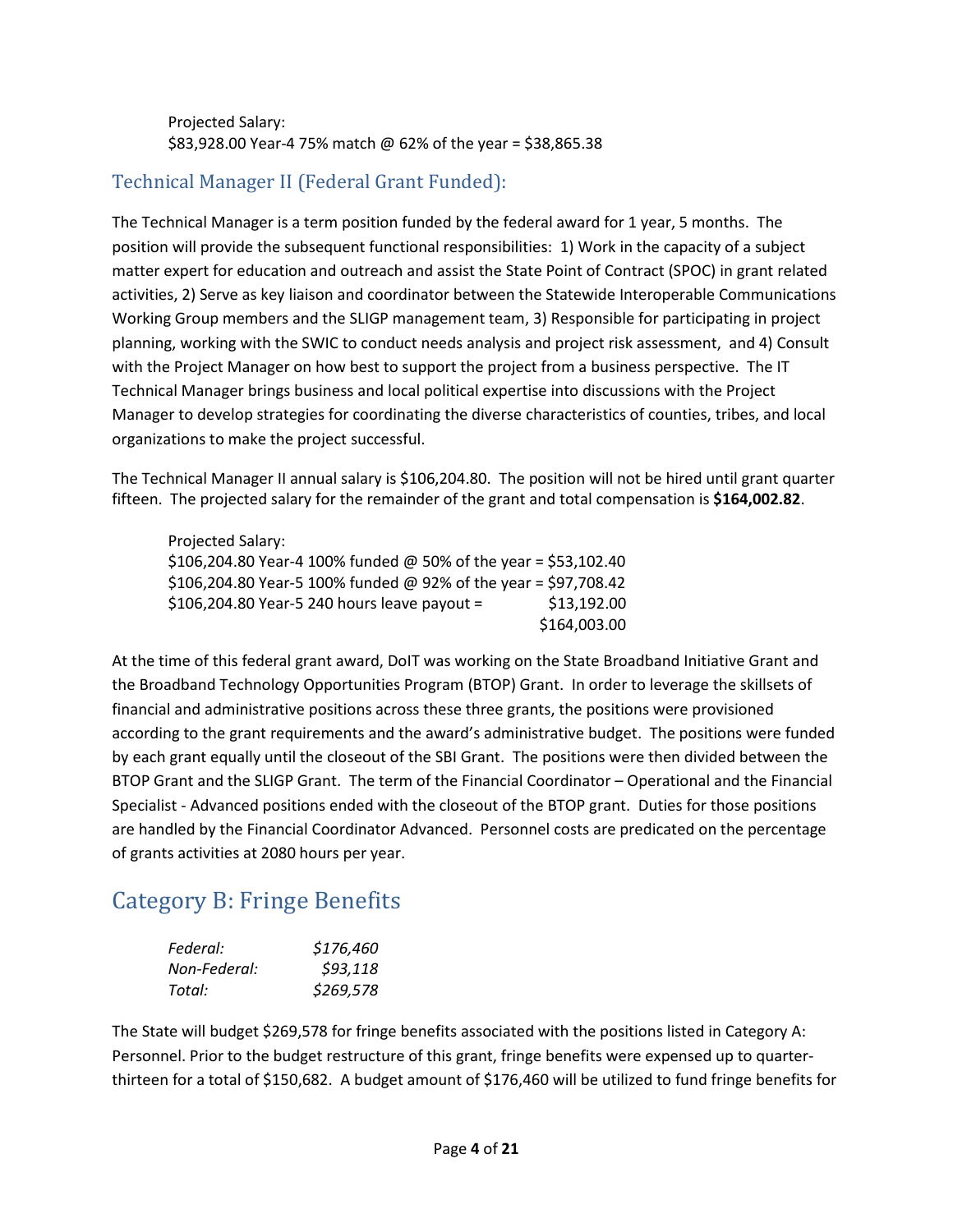Projected Salary: \$83,928.00 Year-4 75% match @ 62% of the year = \$38,865.38

#### Technical Manager II (Federal Grant Funded):

The Technical Manager is a term position funded by the federal award for 1 year, 5 months. The position will provide the subsequent functional responsibilities: 1) Work in the capacity of a subject matter expert for education and outreach and assist the State Point of Contract (SPOC) in grant related activities, 2) Serve as key liaison and coordinator between the Statewide Interoperable Communications Working Group members and the SLIGP management team, 3) Responsible for participating in project planning, working with the SWIC to conduct needs analysis and project risk assessment, and 4) Consult with the Project Manager on how best to support the project from a business perspective. The IT Technical Manager brings business and local political expertise into discussions with the Project Manager to develop strategies for coordinating the diverse characteristics of counties, tribes, and local organizations to make the project successful.

The Technical Manager II annual salary is \$106,204.80. The position will not be hired until grant quarter fifteen. The projected salary for the remainder of the grant and total compensation is **\$164,002.82**.

| Projected Salary:                                               |              |
|-----------------------------------------------------------------|--------------|
| \$106,204.80 Year-4 100% funded @ 50% of the year = \$53,102.40 |              |
| \$106,204.80 Year-5 100% funded @ 92% of the year = \$97,708.42 |              |
| \$106,204.80 Year-5 240 hours leave payout =                    | \$13,192.00  |
|                                                                 | \$164,003.00 |

At the time of this federal grant award, DoIT was working on the State Broadband Initiative Grant and the Broadband Technology Opportunities Program (BTOP) Grant. In order to leverage the skillsets of financial and administrative positions across these three grants, the positions were provisioned according to the grant requirements and the award's administrative budget. The positions were funded by each grant equally until the closeout of the SBI Grant. The positions were then divided between the BTOP Grant and the SLIGP Grant. The term of the Financial Coordinator – Operational and the Financial Specialist - Advanced positions ended with the closeout of the BTOP grant. Duties for those positions are handled by the Financial Coordinator Advanced. Personnel costs are predicated on the percentage of grants activities at 2080 hours per year.

### Category B: Fringe Benefits

| Federal:     | \$176,460 |
|--------------|-----------|
| Non-Federal: | \$93,118  |
| Total:       | \$269,578 |

The State will budget \$269,578 for fringe benefits associated with the positions listed in Category A: Personnel. Prior to the budget restructure of this grant, fringe benefits were expensed up to quarterthirteen for a total of \$150,682. A budget amount of \$176,460 will be utilized to fund fringe benefits for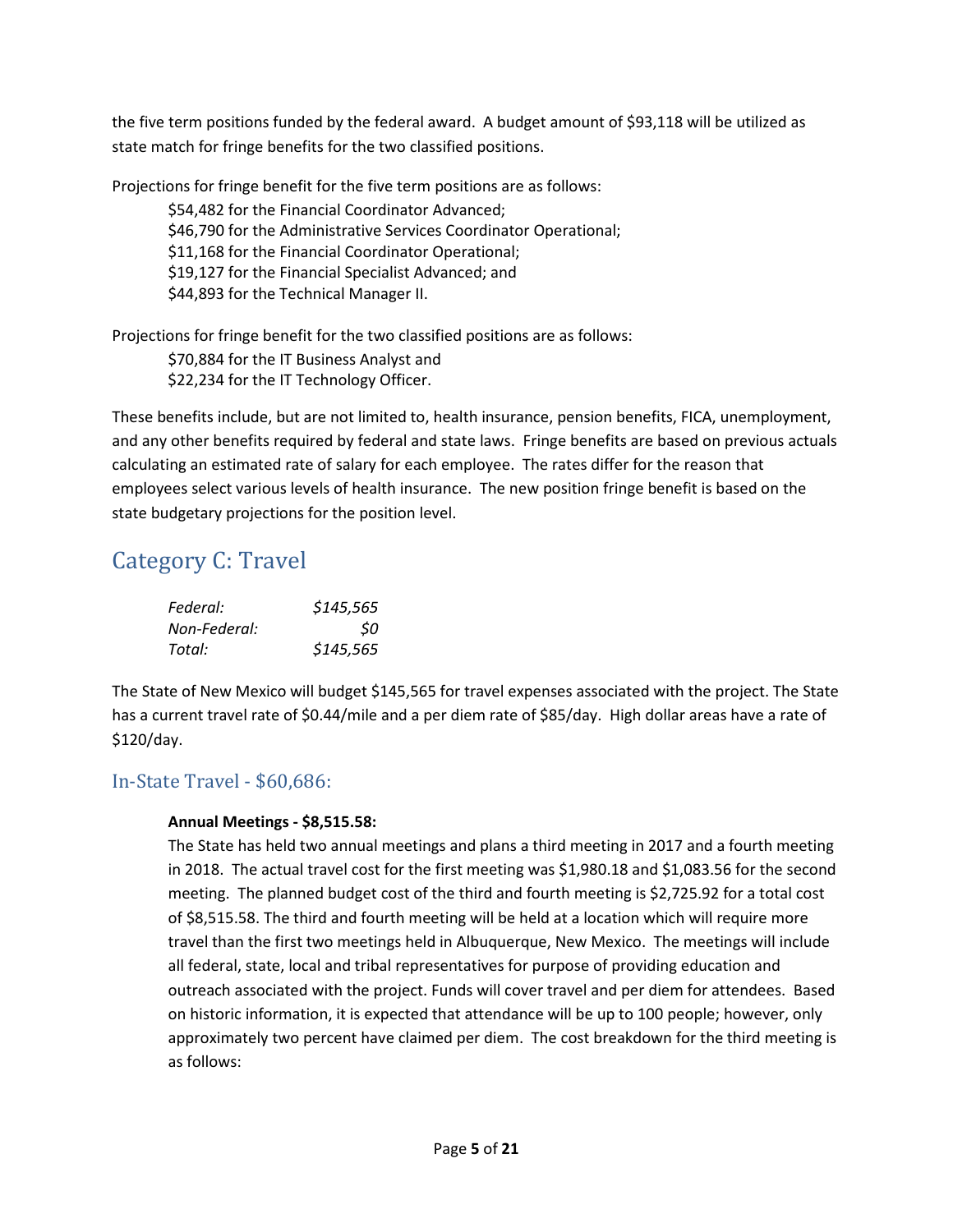the five term positions funded by the federal award. A budget amount of \$93,118 will be utilized as state match for fringe benefits for the two classified positions.

Projections for fringe benefit for the five term positions are as follows:

\$54,482 for the Financial Coordinator Advanced; \$46,790 for the Administrative Services Coordinator Operational; \$11,168 for the Financial Coordinator Operational; \$19,127 for the Financial Specialist Advanced; and \$44,893 for the Technical Manager II.

Projections for fringe benefit for the two classified positions are as follows:

\$70,884 for the IT Business Analyst and \$22,234 for the IT Technology Officer.

These benefits include, but are not limited to, health insurance, pension benefits, FICA, unemployment, and any other benefits required by federal and state laws. Fringe benefits are based on previous actuals calculating an estimated rate of salary for each employee. The rates differ for the reason that employees select various levels of health insurance. The new position fringe benefit is based on the state budgetary projections for the position level.

### Category C: Travel

| Federal:     | \$145,565 |
|--------------|-----------|
| Non-Federal: | 50        |
| Total:       | \$145,565 |

The State of New Mexico will budget \$145,565 for travel expenses associated with the project. The State has a current travel rate of \$0.44/mile and a per diem rate of \$85/day. High dollar areas have a rate of \$120/day.

#### In-State Travel - \$60,686:

#### **Annual Meetings - \$8,515.58:**

The State has held two annual meetings and plans a third meeting in 2017 and a fourth meeting in 2018. The actual travel cost for the first meeting was \$1,980.18 and \$1,083.56 for the second meeting. The planned budget cost of the third and fourth meeting is \$2,725.92 for a total cost of \$8,515.58. The third and fourth meeting will be held at a location which will require more travel than the first two meetings held in Albuquerque, New Mexico. The meetings will include all federal, state, local and tribal representatives for purpose of providing education and outreach associated with the project. Funds will cover travel and per diem for attendees. Based on historic information, it is expected that attendance will be up to 100 people; however, only approximately two percent have claimed per diem. The cost breakdown for the third meeting is as follows: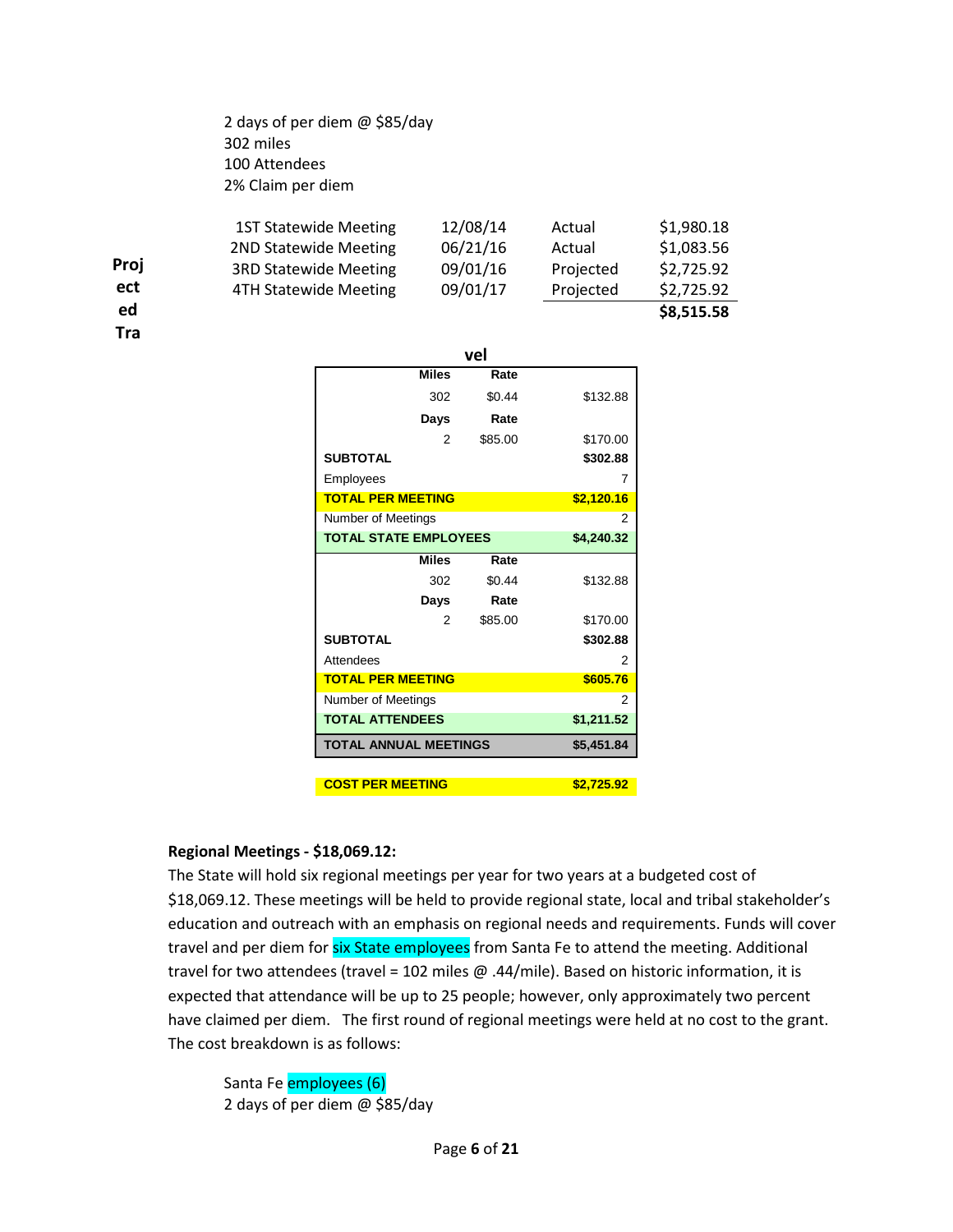2 days of per diem @ \$85/day 302 miles 100 Attendees 2% Claim per diem

| ed   |                              |          |           | \$8,515.58 |
|------|------------------------------|----------|-----------|------------|
| ect  | 4TH Statewide Meeting        | 09/01/17 | Projected | \$2,725.92 |
| Proj | <b>3RD Statewide Meeting</b> | 09/01/16 | Projected | \$2,725.92 |
|      | 2ND Statewide Meeting        | 06/21/16 | Actual    | \$1,083.56 |
|      | <b>1ST Statewide Meeting</b> | 12/08/14 | Actual    | \$1,980.18 |

**Tra**

|                                            | vel        |            |  |  |  |  |  |
|--------------------------------------------|------------|------------|--|--|--|--|--|
| <b>Miles</b>                               | Rate       |            |  |  |  |  |  |
| 302                                        | \$0.44     | \$132.88   |  |  |  |  |  |
| Days                                       | Rate       |            |  |  |  |  |  |
| 2                                          | \$85.00    | \$170.00   |  |  |  |  |  |
| <b>SUBTOTAL</b>                            |            | \$302.88   |  |  |  |  |  |
| Employees                                  |            | 7          |  |  |  |  |  |
| <b>TOTAL PER MEETING</b>                   |            | \$2,120.16 |  |  |  |  |  |
| Number of Meetings                         | 2          |            |  |  |  |  |  |
| <b>TOTAL STATE EMPLOYEES</b>               | \$4,240.32 |            |  |  |  |  |  |
| <b>Miles</b>                               | Rate       |            |  |  |  |  |  |
| 302                                        | \$0.44     | \$132.88   |  |  |  |  |  |
| Days                                       | Rate       |            |  |  |  |  |  |
| 2                                          | \$85.00    | \$170.00   |  |  |  |  |  |
| <b>SUBTOTAL</b>                            |            | \$302.88   |  |  |  |  |  |
| Attendees                                  |            | 2          |  |  |  |  |  |
| <b>TOTAL PER MEETING</b>                   |            | \$605.76   |  |  |  |  |  |
| Number of Meetings                         |            | 2          |  |  |  |  |  |
| <b>TOTAL ATTENDEES</b>                     |            |            |  |  |  |  |  |
| <b>TOTAL ANNUAL MEETINGS</b><br>\$5,451.84 |            |            |  |  |  |  |  |
|                                            |            |            |  |  |  |  |  |
| <b>COST PER MEETING</b>                    |            | \$2,725.92 |  |  |  |  |  |

#### **Regional Meetings - \$18,069.12:**

The State will hold six regional meetings per year for two years at a budgeted cost of \$18,069.12. These meetings will be held to provide regional state, local and tribal stakeholder's education and outreach with an emphasis on regional needs and requirements. Funds will cover travel and per diem for six State employees from Santa Fe to attend the meeting. Additional travel for two attendees (travel = 102 miles @ .44/mile). Based on historic information, it is expected that attendance will be up to 25 people; however, only approximately two percent have claimed per diem. The first round of regional meetings were held at no cost to the grant. The cost breakdown is as follows:

Santa Fe employees (6) 2 days of per diem @ \$85/day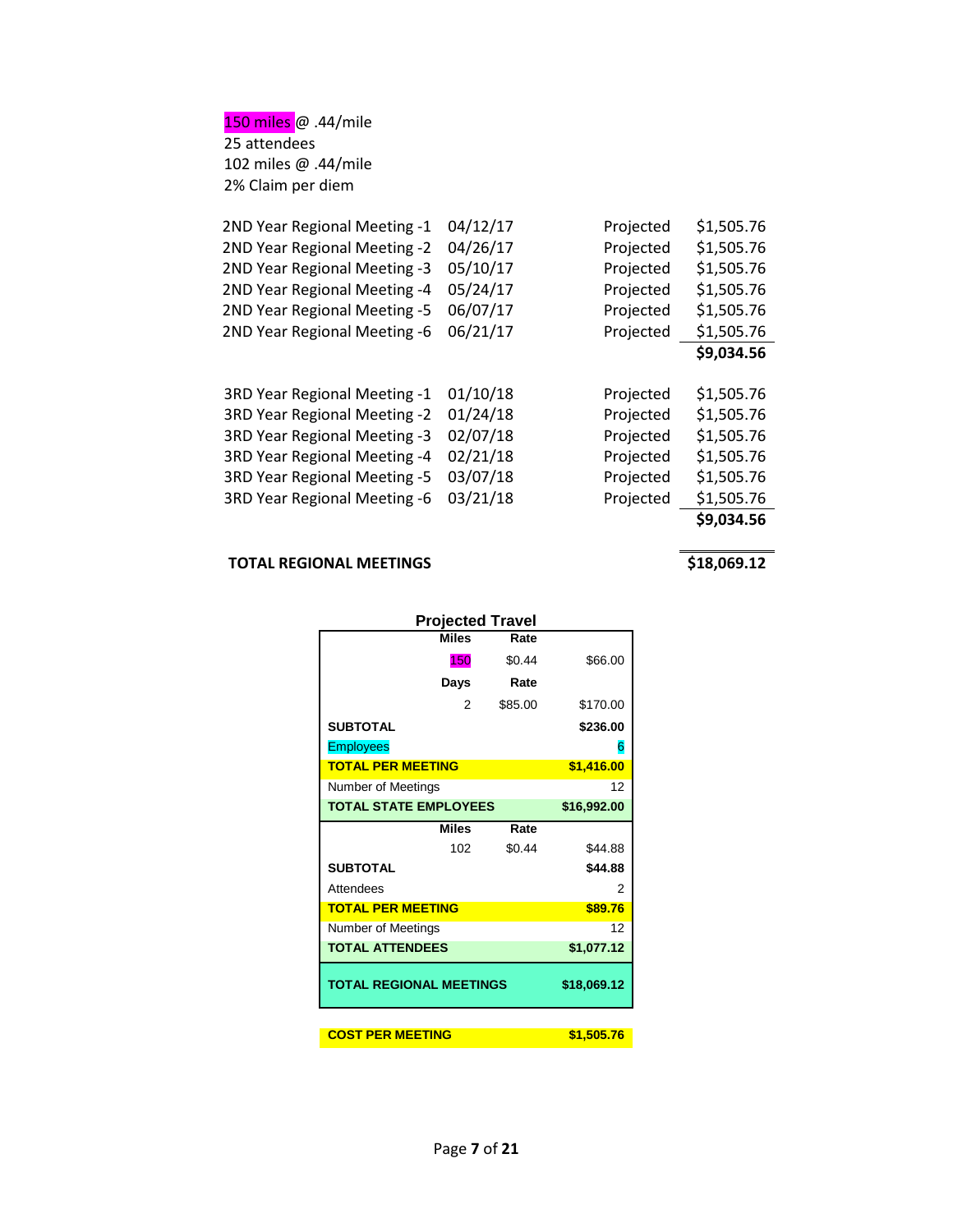150 miles @ .44/mile 25 attendees 102 miles @ .44/mile 2% Claim per diem

| 2ND Year Regional Meeting -1 | 04/12/17 | Projected | \$1,505.76 |
|------------------------------|----------|-----------|------------|
| 2ND Year Regional Meeting -2 | 04/26/17 | Projected | \$1,505.76 |
| 2ND Year Regional Meeting -3 | 05/10/17 | Projected | \$1,505.76 |
| 2ND Year Regional Meeting -4 | 05/24/17 | Projected | \$1,505.76 |
| 2ND Year Regional Meeting -5 | 06/07/17 | Projected | \$1,505.76 |
| 2ND Year Regional Meeting -6 | 06/21/17 | Projected | \$1,505.76 |
|                              |          |           | \$9,034.56 |
|                              |          |           |            |
| 3RD Year Regional Meeting -1 | 01/10/18 | Projected | \$1,505.76 |
| 3RD Year Regional Meeting -2 | 01/24/18 | Projected | \$1,505.76 |
| 3RD Year Regional Meeting -3 | 02/07/18 | Projected | \$1,505.76 |
| 3RD Year Regional Meeting -4 | 02/21/18 | Projected | \$1,505.76 |
| 3RD Year Regional Meeting -5 | 03/07/18 | Projected | \$1,505.76 |
| 3RD Year Regional Meeting -6 | 03/21/18 | Projected | \$1,505.76 |
|                              |          |           | \$9,034.56 |

### **TOTAL REGIONAL MEETINGS 618,069.12**

| <b>Projected Travel</b>        |         |             |
|--------------------------------|---------|-------------|
| <b>Miles</b>                   | Rate    |             |
| 150                            | \$0.44  | \$66.00     |
| Days                           | Rate    |             |
| 2                              | \$85.00 | \$170.00    |
| <b>SUBTOTAL</b>                |         | \$236.00    |
| <b>Employees</b>               |         | 6           |
| <b>TOTAL PER MEETING</b>       |         | \$1,416.00  |
| Number of Meetings             |         | 12          |
| <b>TOTAL STATE EMPLOYEES</b>   |         | \$16,992.00 |
| <b>Miles</b>                   | Rate    |             |
| 102                            | \$0.44  | \$44.88     |
| <b>SUBTOTAL</b>                |         | \$44.88     |
| Attendees                      |         | 2           |
| <b>TOTAL PER MEETING</b>       |         | \$89.76     |
| Number of Meetings             |         | 12          |
| <b>TOTAL ATTENDEES</b>         |         | \$1,077.12  |
| <b>TOTAL REGIONAL MEETINGS</b> |         | \$18,069.12 |
|                                |         |             |
| <b>COST PER MEETING</b>        |         | \$1,505.76  |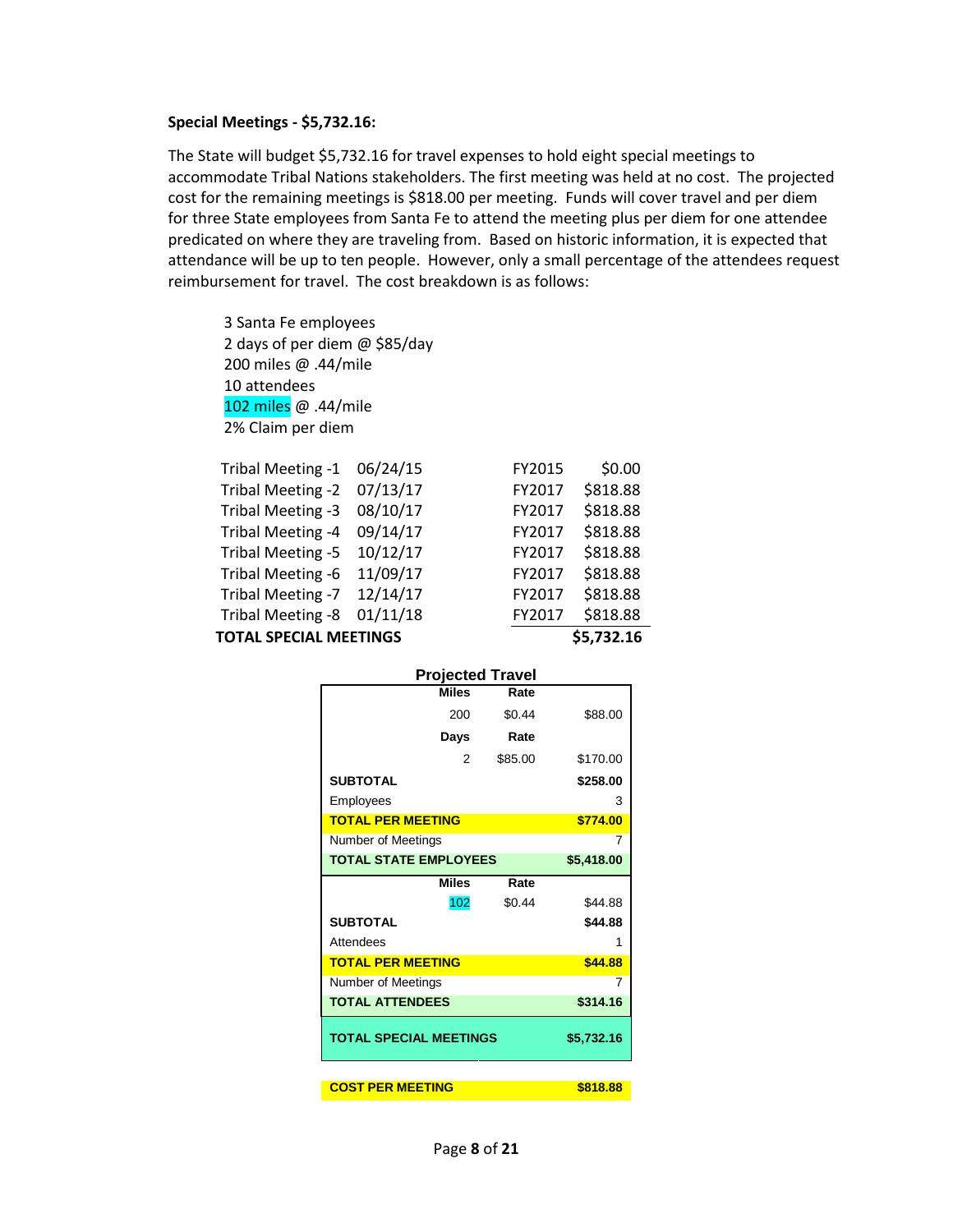#### **Special Meetings - \$5,732.16:**

The State will budget \$5,732.16 for travel expenses to hold eight special meetings to accommodate Tribal Nations stakeholders. The first meeting was held at no cost. The projected cost for the remaining meetings is \$818.00 per meeting. Funds will cover travel and per diem for three State employees from Santa Fe to attend the meeting plus per diem for one attendee predicated on where they are traveling from. Based on historic information, it is expected that attendance will be up to ten people. However, only a small percentage of the attendees request reimbursement for travel. The cost breakdown is as follows:

3 Santa Fe employees 2 days of per diem @ \$85/day 200 miles @ .44/mile 10 attendees 102 miles @ .44/mile 2% Claim per diem

| <b>TOTAL SPECIAL MEETINGS</b> |          |        | \$5,732.16 |
|-------------------------------|----------|--------|------------|
| Tribal Meeting -8             | 01/11/18 | FY2017 | \$818.88   |
| Tribal Meeting -7             | 12/14/17 | FY2017 | \$818.88   |
| Tribal Meeting -6             | 11/09/17 | FY2017 | \$818.88   |
| Tribal Meeting -5             | 10/12/17 | FY2017 | \$818.88   |
| Tribal Meeting -4             | 09/14/17 | FY2017 | \$818.88   |
| Tribal Meeting -3             | 08/10/17 | FY2017 | \$818.88   |
| Tribal Meeting -2             | 07/13/17 | FY2017 | \$818.88   |
| Tribal Meeting -1             | 06/24/15 | FY2015 | \$0.00     |

|                               | <b>Projected Travel</b> |            |
|-------------------------------|-------------------------|------------|
| <b>Miles</b>                  | Rate                    |            |
| 200                           | \$0.44                  | \$88.00    |
| Days                          | Rate                    |            |
| 2                             | \$85.00                 | \$170.00   |
| <b>SUBTOTAL</b>               |                         | \$258.00   |
| Employees                     |                         | 3          |
| <b>TOTAL PER MEETING</b>      |                         | \$774.00   |
| Number of Meetings            | 7                       |            |
| <b>TOTAL STATE EMPLOYEES</b>  |                         | \$5,418.00 |
| Miles                         | Rate                    |            |
| 102                           | \$0.44                  | \$44.88    |
| <b>SUBTOTAL</b>               |                         | \$44.88    |
| Attendees                     |                         | 1          |
| <b>TOTAL PER MEETING</b>      |                         | \$44.88    |
| Number of Meetings            |                         | 7          |
| <b>TOTAL ATTENDEES</b>        |                         | \$314.16   |
| <b>TOTAL SPECIAL MEETINGS</b> |                         | \$5,732.16 |
|                               |                         |            |
| <b>COST PER MEETING</b>       |                         | \$818.88   |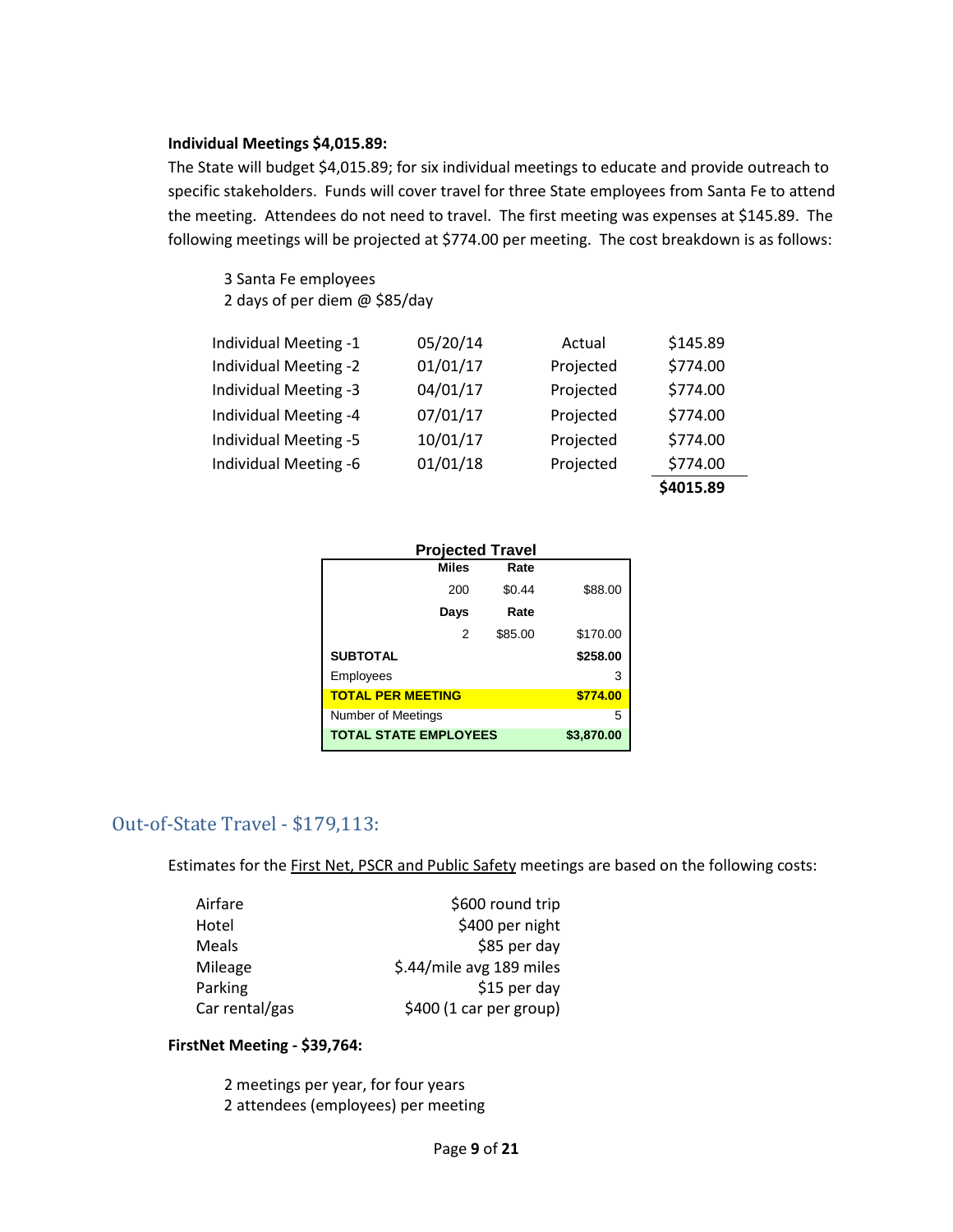#### **Individual Meetings \$4,015.89:**

The State will budget \$4,015.89; for six individual meetings to educate and provide outreach to specific stakeholders. Funds will cover travel for three State employees from Santa Fe to attend the meeting. Attendees do not need to travel. The first meeting was expenses at \$145.89. The following meetings will be projected at \$774.00 per meeting. The cost breakdown is as follows:

3 Santa Fe employees 2 days of per diem @ \$85/day

|                       |          |           | \$4015.89 |
|-----------------------|----------|-----------|-----------|
| Individual Meeting -6 | 01/01/18 | Projected | \$774.00  |
| Individual Meeting -5 | 10/01/17 | Projected | \$774.00  |
| Individual Meeting -4 | 07/01/17 | Projected | \$774.00  |
| Individual Meeting -3 | 04/01/17 | Projected | \$774.00  |
| Individual Meeting -2 | 01/01/17 | Projected | \$774.00  |
| Individual Meeting -1 | 05/20/14 | Actual    | \$145.89  |

| <b>Projected Travel</b>      |            |          |  |
|------------------------------|------------|----------|--|
| <b>Miles</b>                 | Rate       |          |  |
| 200                          | \$0.44     | \$88.00  |  |
| Days                         | Rate       |          |  |
| 2                            | \$85.00    | \$170.00 |  |
| <b>SUBTOTAL</b>              |            | \$258.00 |  |
| Employees                    |            | 3        |  |
| <b>TOTAL PER MEETING</b>     | \$774.00   |          |  |
| Number of Meetings           |            | 5        |  |
| <b>TOTAL STATE EMPLOYEES</b> | \$3,870.00 |          |  |

#### Out-of-State Travel - \$179,113:

Estimates for the First Net, PSCR and Public Safety meetings are based on the following costs:

| Airfare        | \$600 round trip         |
|----------------|--------------------------|
| Hotel          | \$400 per night          |
| Meals          | \$85 per day             |
| Mileage        | \$.44/mile avg 189 miles |
| Parking        | \$15 per day             |
| Car rental/gas | \$400 (1 car per group)  |

#### **FirstNet Meeting - \$39,764:**

2 meetings per year, for four years 2 attendees (employees) per meeting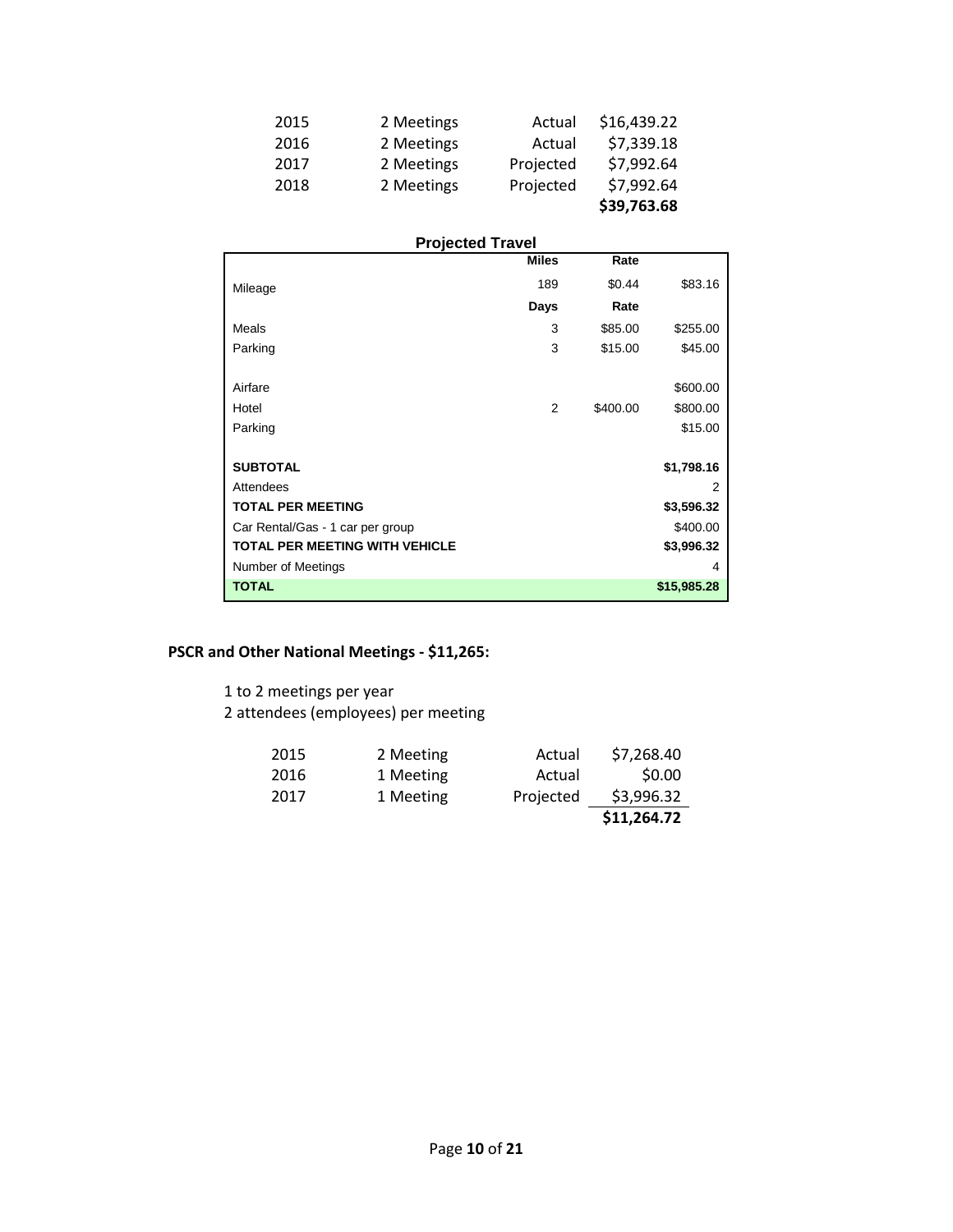| 2015 | 2 Meetings | Actual    | \$16,439.22 |
|------|------------|-----------|-------------|
| 2016 | 2 Meetings | Actual    | \$7,339.18  |
| 2017 | 2 Meetings | Projected | \$7,992.64  |
| 2018 | 2 Meetings | Projected | \$7,992.64  |
|      |            |           | \$39,763.68 |

#### **Projected Travel**

|                                       | Miles          | Rate     |             |
|---------------------------------------|----------------|----------|-------------|
| Mileage                               | 189            | \$0.44   | \$83.16     |
|                                       | Days           | Rate     |             |
| Meals                                 | 3              | \$85.00  | \$255.00    |
| Parking                               | 3              | \$15.00  | \$45.00     |
|                                       |                |          |             |
| Airfare                               |                |          | \$600.00    |
| Hotel                                 | $\overline{2}$ | \$400.00 | \$800.00    |
| Parking                               |                |          | \$15.00     |
|                                       |                |          |             |
| <b>SUBTOTAL</b>                       |                |          | \$1,798.16  |
| Attendees                             |                |          | 2           |
| <b>TOTAL PER MEETING</b>              |                |          | \$3,596.32  |
| Car Rental/Gas - 1 car per group      |                |          | \$400.00    |
| <b>TOTAL PER MEETING WITH VEHICLE</b> |                |          | \$3,996.32  |
| Number of Meetings                    |                |          | 4           |
| <b>TOTAL</b>                          |                |          | \$15,985.28 |

#### **PSCR and Other National Meetings - \$11,265:**

1 to 2 meetings per year

2 attendees (employees) per meeting

| 2015 | 2 Meeting | Actual    | \$7,268.40  |
|------|-----------|-----------|-------------|
| 2016 | 1 Meeting | Actual    | \$0.00      |
| 2017 | 1 Meeting | Projected | \$3,996.32  |
|      |           |           | \$11,264.72 |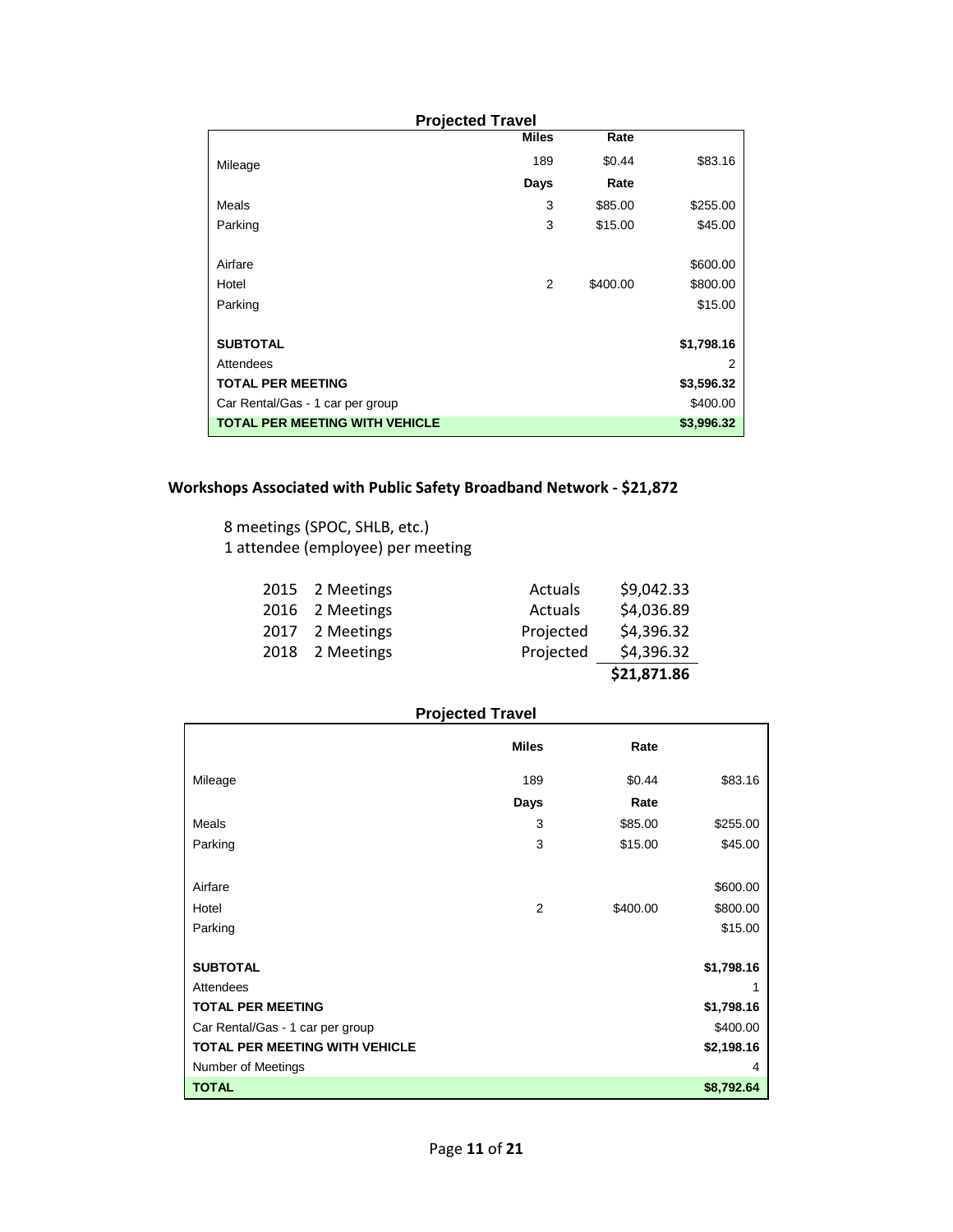| <b>Projected Travel</b>               |              |          |            |
|---------------------------------------|--------------|----------|------------|
|                                       | <b>Miles</b> | Rate     |            |
| Mileage                               | 189          | \$0.44   | \$83.16    |
|                                       | Days         | Rate     |            |
| <b>Meals</b>                          | 3            | \$85.00  | \$255.00   |
| Parking                               | 3            | \$15.00  | \$45.00    |
| Airfare                               |              |          | \$600.00   |
| Hotel                                 | 2            | \$400.00 | \$800.00   |
| Parking                               |              |          | \$15.00    |
| <b>SUBTOTAL</b>                       |              |          | \$1,798.16 |
| Attendees                             |              |          | 2          |
| <b>TOTAL PER MEETING</b>              |              |          | \$3,596.32 |
| Car Rental/Gas - 1 car per group      |              |          | \$400.00   |
| <b>TOTAL PER MEETING WITH VEHICLE</b> |              |          | \$3,996.32 |

#### **Workshops Associated with Public Safety Broadband Network - \$21,872**

8 meetings (SPOC, SHLB, etc.) 1 attendee (employee) per meeting

| 2015 2 Meetings | Actuals   | \$9,042.33  |
|-----------------|-----------|-------------|
| 2016 2 Meetings | Actuals   | \$4,036.89  |
| 2017 2 Meetings | Projected | \$4,396.32  |
| 2018 2 Meetings | Projected | \$4,396.32  |
|                 |           | \$21,871.86 |

#### **Projected Travel**

|                                       | <b>Miles</b>   | Rate     |            |
|---------------------------------------|----------------|----------|------------|
| Mileage                               | 189            | \$0.44   | \$83.16    |
|                                       | Days           | Rate     |            |
| <b>Meals</b>                          | 3              | \$85.00  | \$255.00   |
| Parking                               | 3              | \$15.00  | \$45.00    |
|                                       |                |          |            |
| Airfare                               |                |          | \$600.00   |
| Hotel                                 | $\overline{2}$ | \$400.00 | \$800.00   |
| Parking                               |                |          | \$15.00    |
|                                       |                |          |            |
| <b>SUBTOTAL</b>                       |                |          | \$1,798.16 |
| Attendees                             |                |          | 1          |
| <b>TOTAL PER MEETING</b>              |                |          | \$1,798.16 |
| Car Rental/Gas - 1 car per group      |                |          | \$400.00   |
| <b>TOTAL PER MEETING WITH VEHICLE</b> |                |          | \$2,198.16 |
| Number of Meetings                    |                |          | 4          |
| <b>TOTAL</b>                          |                |          | \$8,792.64 |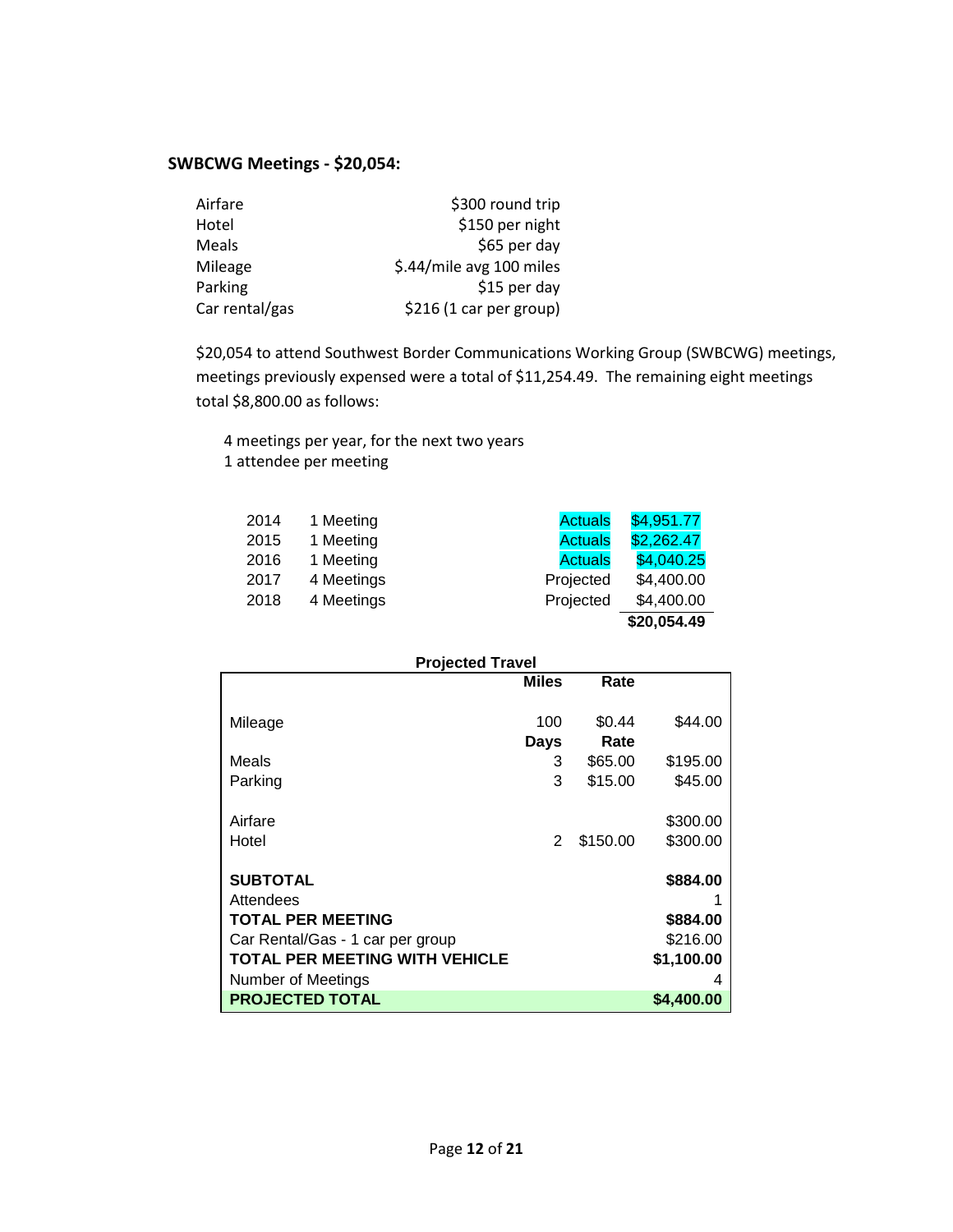#### **SWBCWG Meetings - \$20,054:**

| Airfare        | \$300 round trip         |
|----------------|--------------------------|
| Hotel          | \$150 per night          |
| Meals          | \$65 per day             |
| Mileage        | \$.44/mile avg 100 miles |
| Parking        | \$15 per day             |
| Car rental/gas | \$216 (1 car per group)  |

\$20,054 to attend Southwest Border Communications Working Group (SWBCWG) meetings, meetings previously expensed were a total of \$11,254.49. The remaining eight meetings total \$8,800.00 as follows:

4 meetings per year, for the next two years 1 attendee per meeting

| 2014 | 1 Meeting  | <b>Actuals</b> | \$4,951.77  |
|------|------------|----------------|-------------|
| 2015 | 1 Meeting  | <b>Actuals</b> | \$2,262.47  |
| 2016 | 1 Meeting  | <b>Actuals</b> | \$4,040.25  |
| 2017 | 4 Meetings | Projected      | \$4,400.00  |
| 2018 | 4 Meetings | Projected      | \$4,400.00  |
|      |            |                | \$20,054.49 |

| <b>Projected Travel</b>          |               |          |            |
|----------------------------------|---------------|----------|------------|
|                                  | <b>Miles</b>  | Rate     |            |
|                                  |               |          |            |
| Mileage                          | 100           | \$0.44   | \$44.00    |
|                                  | <b>Days</b>   | Rate     |            |
| Meals                            | 3             | \$65.00  | \$195.00   |
| Parking                          | 3             | \$15.00  | \$45.00    |
|                                  |               |          |            |
| Airfare                          |               |          | \$300.00   |
| Hotel                            | $\mathcal{P}$ | \$150.00 | \$300.00   |
|                                  |               |          |            |
| <b>SUBTOTAL</b>                  |               |          | \$884.00   |
| Attendees                        |               |          |            |
| <b>TOTAL PER MEETING</b>         |               |          | \$884.00   |
| Car Rental/Gas - 1 car per group |               |          | \$216.00   |
| TOTAL PER MEETING WITH VEHICLE   |               |          | \$1,100.00 |
| Number of Meetings               |               |          | 4          |
| <b>PROJECTED TOTAL</b>           |               |          | \$4,400.00 |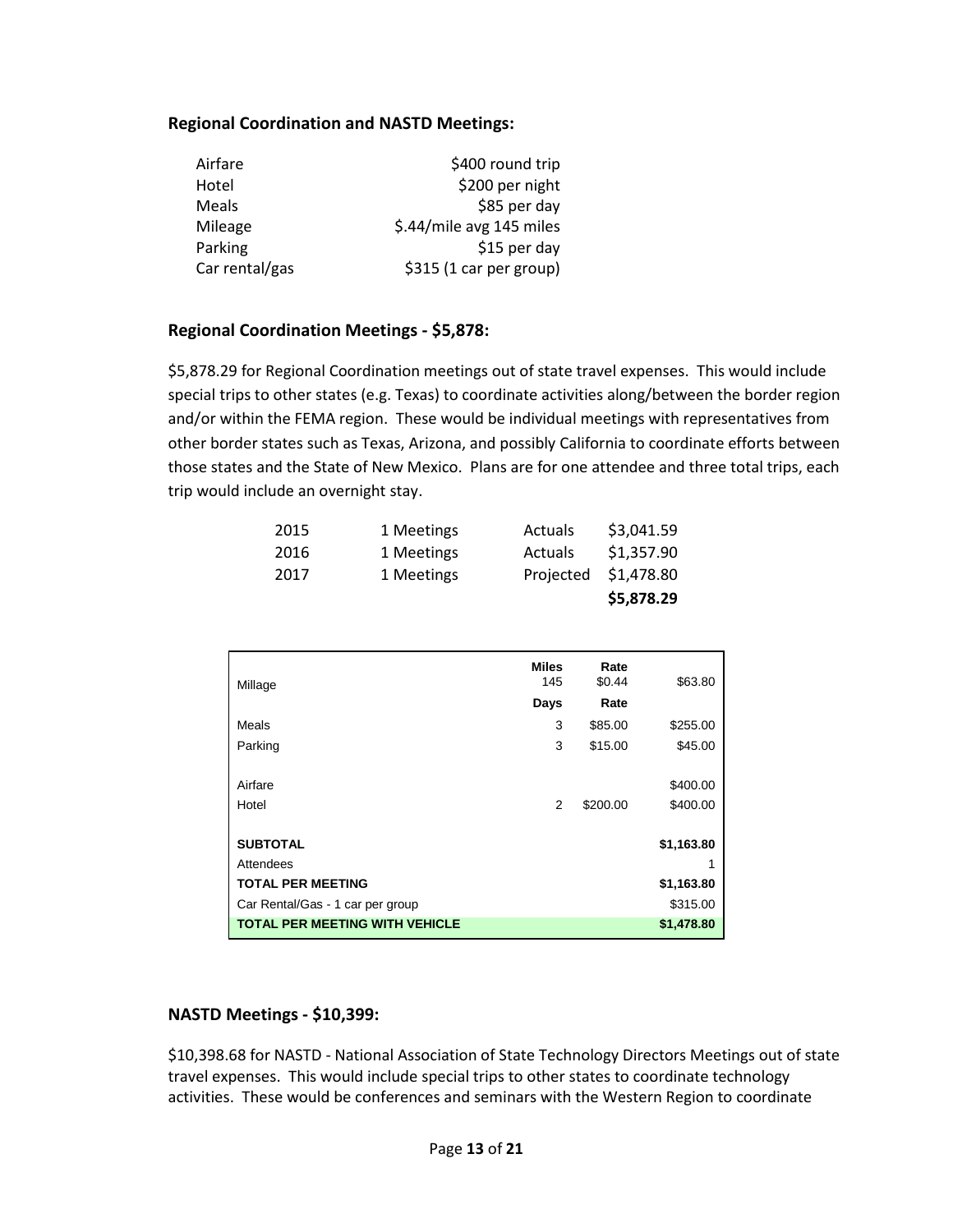#### **Regional Coordination and NASTD Meetings:**

| Airfare        | \$400 round trip         |
|----------------|--------------------------|
| Hotel          | \$200 per night          |
| Meals          | \$85 per day             |
| Mileage        | \$.44/mile avg 145 miles |
| Parking        | \$15 per day             |
| Car rental/gas | \$315 (1 car per group)  |

#### **Regional Coordination Meetings - \$5,878:**

\$5,878.29 for Regional Coordination meetings out of state travel expenses. This would include special trips to other states (e.g. Texas) to coordinate activities along/between the border region and/or within the FEMA region. These would be individual meetings with representatives from other border states such as Texas, Arizona, and possibly California to coordinate efforts between those states and the State of New Mexico. Plans are for one attendee and three total trips, each trip would include an overnight stay.

| 2015 | 1 Meetings | <b>Actuals</b> | \$3,041.59 |
|------|------------|----------------|------------|
| 2016 | 1 Meetings | <b>Actuals</b> | \$1,357.90 |
| 2017 | 1 Meetings | Projected      | \$1,478.80 |
|      |            |                | \$5,878.29 |

| Millage                               | <b>Miles</b><br>145 | Rate<br>\$0.44 | \$63.80    |
|---------------------------------------|---------------------|----------------|------------|
|                                       | Days                | Rate           |            |
| Meals                                 | 3                   | \$85.00        | \$255.00   |
| Parking                               | 3                   | \$15.00        | \$45.00    |
|                                       |                     |                |            |
| Airfare                               |                     |                | \$400.00   |
| Hotel                                 | 2                   | \$200.00       | \$400.00   |
|                                       |                     |                |            |
| <b>SUBTOTAL</b>                       |                     |                | \$1,163.80 |
| Attendees                             |                     |                |            |
| <b>TOTAL PER MEETING</b>              |                     |                | \$1,163.80 |
| Car Rental/Gas - 1 car per group      |                     |                | \$315.00   |
| <b>TOTAL PER MEETING WITH VEHICLE</b> |                     |                | \$1,478.80 |

#### **NASTD Meetings - \$10,399:**

\$10,398.68 for NASTD - National Association of State Technology Directors Meetings out of state travel expenses. This would include special trips to other states to coordinate technology activities. These would be conferences and seminars with the Western Region to coordinate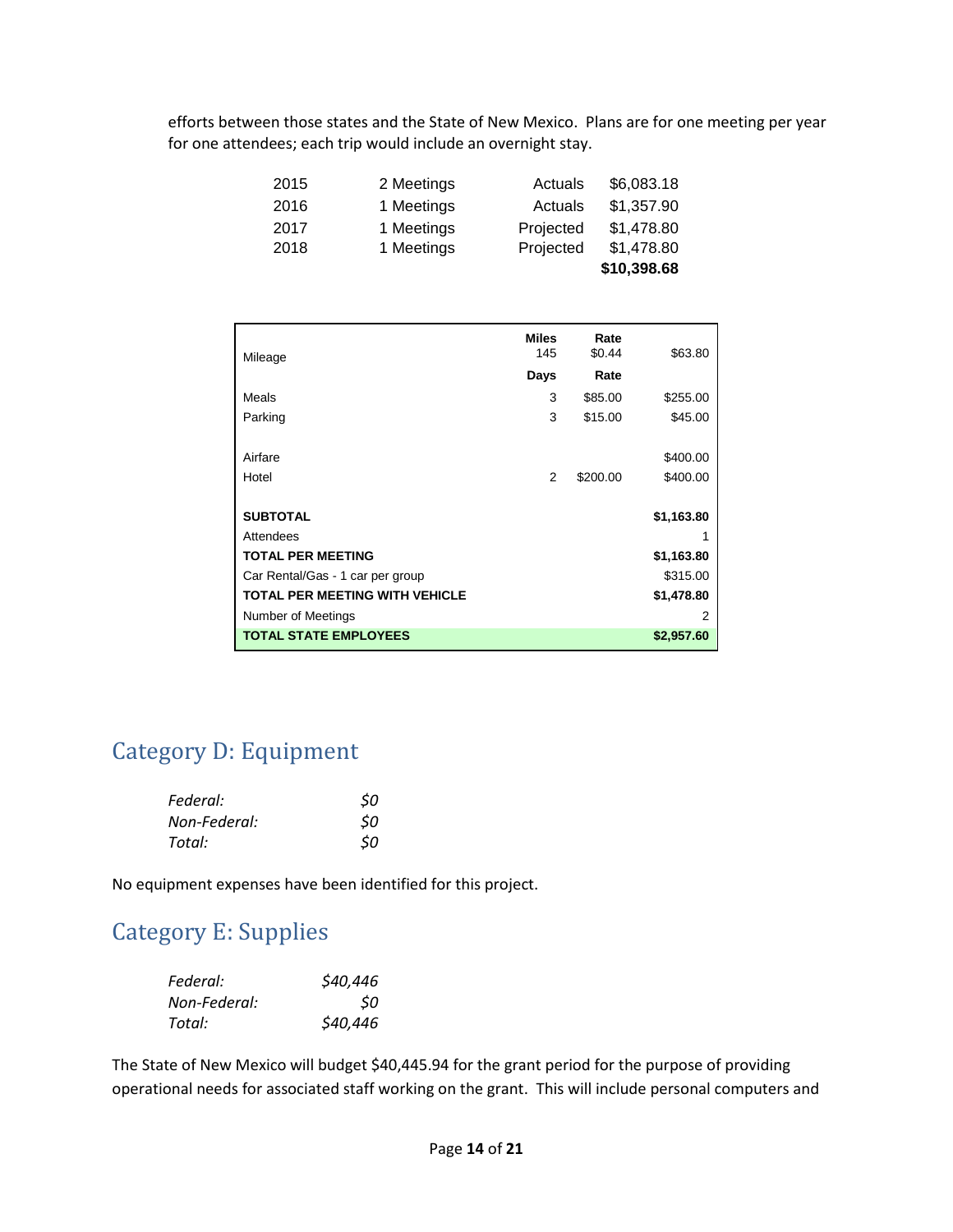efforts between those states and the State of New Mexico. Plans are for one meeting per year for one attendees; each trip would include an overnight stay.

| 2015 | 2 Meetings | Actuals   | \$6,083.18  |
|------|------------|-----------|-------------|
| 2016 | 1 Meetings | Actuals   | \$1,357.90  |
| 2017 | 1 Meetings | Projected | \$1,478.80  |
| 2018 | 1 Meetings | Projected | \$1,478.80  |
|      |            |           | \$10,398.68 |

| Mileage                               | <b>Miles</b><br>145 | Rate<br>\$0.44 | \$63.80    |
|---------------------------------------|---------------------|----------------|------------|
|                                       | Days                | Rate           |            |
| Meals                                 | 3                   | \$85.00        | \$255.00   |
| Parking                               | 3                   | \$15.00        | \$45.00    |
|                                       |                     |                |            |
| Airfare                               |                     |                | \$400.00   |
| Hotel                                 | 2                   | \$200.00       | \$400.00   |
|                                       |                     |                |            |
| <b>SUBTOTAL</b>                       |                     |                | \$1,163.80 |
| Attendees                             |                     |                |            |
| <b>TOTAL PER MEETING</b>              |                     |                | \$1,163.80 |
| Car Rental/Gas - 1 car per group      |                     |                | \$315.00   |
| <b>TOTAL PER MEETING WITH VEHICLE</b> |                     |                | \$1,478.80 |
| Number of Meetings                    |                     |                | 2          |
| <b>TOTAL STATE EMPLOYEES</b>          |                     |                | \$2,957.60 |

### Category D: Equipment

| Federal:     | \$0 |
|--------------|-----|
| Non-Federal: | \$0 |
| Total:       | 50  |

No equipment expenses have been identified for this project.

### Category E: Supplies

| Federal:     | \$40,446  |
|--------------|-----------|
| Non-Federal: | <b>SO</b> |
| Total:       | \$40,446  |

The State of New Mexico will budget \$40,445.94 for the grant period for the purpose of providing operational needs for associated staff working on the grant. This will include personal computers and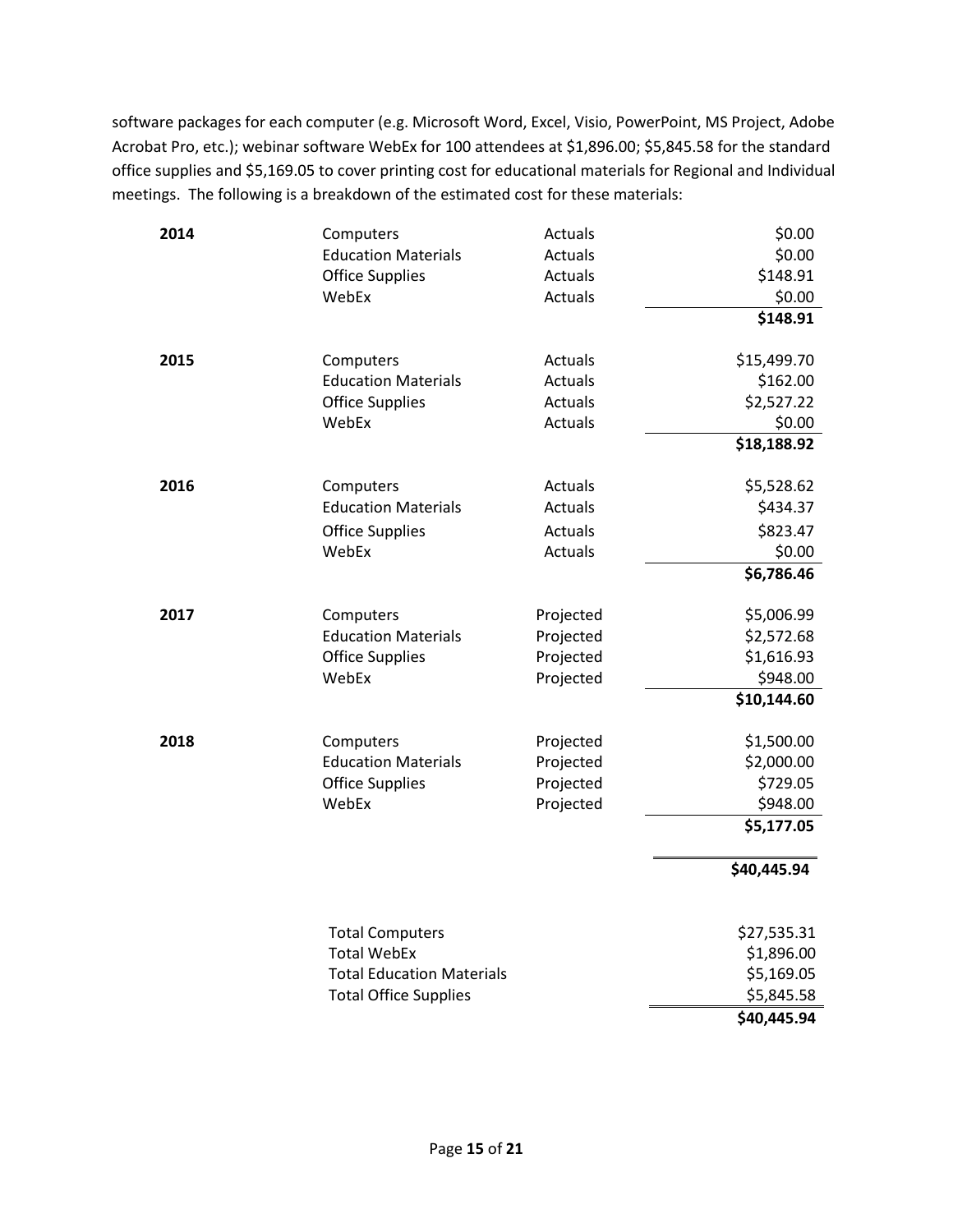software packages for each computer (e.g. Microsoft Word, Excel, Visio, PowerPoint, MS Project, Adobe Acrobat Pro, etc.); webinar software WebEx for 100 attendees at \$1,896.00; \$5,845.58 for the standard office supplies and \$5,169.05 to cover printing cost for educational materials for Regional and Individual meetings. The following is a breakdown of the estimated cost for these materials:

| 2014 | Computers                        | Actuals        | \$0.00      |
|------|----------------------------------|----------------|-------------|
|      | <b>Education Materials</b>       | Actuals        | \$0.00      |
|      | <b>Office Supplies</b>           | Actuals        | \$148.91    |
|      | WebEx                            | Actuals        | \$0.00      |
|      |                                  |                | \$148.91    |
| 2015 | Computers                        | Actuals        | \$15,499.70 |
|      | <b>Education Materials</b>       | Actuals        | \$162.00    |
|      | <b>Office Supplies</b>           | Actuals        | \$2,527.22  |
|      | WebEx                            | Actuals        | \$0.00      |
|      |                                  |                | \$18,188.92 |
| 2016 | Computers                        | Actuals        | \$5,528.62  |
|      | <b>Education Materials</b>       | <b>Actuals</b> | \$434.37    |
|      | <b>Office Supplies</b>           | Actuals        | \$823.47    |
|      | WebEx                            | Actuals        | \$0.00      |
|      |                                  |                | \$6,786.46  |
| 2017 | Computers                        | Projected      | \$5,006.99  |
|      | <b>Education Materials</b>       | Projected      | \$2,572.68  |
|      | <b>Office Supplies</b>           | Projected      | \$1,616.93  |
|      | WebEx                            | Projected      | \$948.00    |
|      |                                  |                | \$10,144.60 |
| 2018 | Computers                        | Projected      | \$1,500.00  |
|      | <b>Education Materials</b>       | Projected      | \$2,000.00  |
|      | <b>Office Supplies</b>           | Projected      | \$729.05    |
|      | WebEx                            | Projected      | \$948.00    |
|      |                                  |                | \$5,177.05  |
|      |                                  |                | \$40,445.94 |
|      |                                  |                |             |
|      | <b>Total Computers</b>           |                | \$27,535.31 |
|      | <b>Total WebEx</b>               |                | \$1,896.00  |
|      | <b>Total Education Materials</b> |                | \$5,169.05  |
|      | <b>Total Office Supplies</b>     |                | \$5,845.58  |
|      |                                  |                | \$40,445.94 |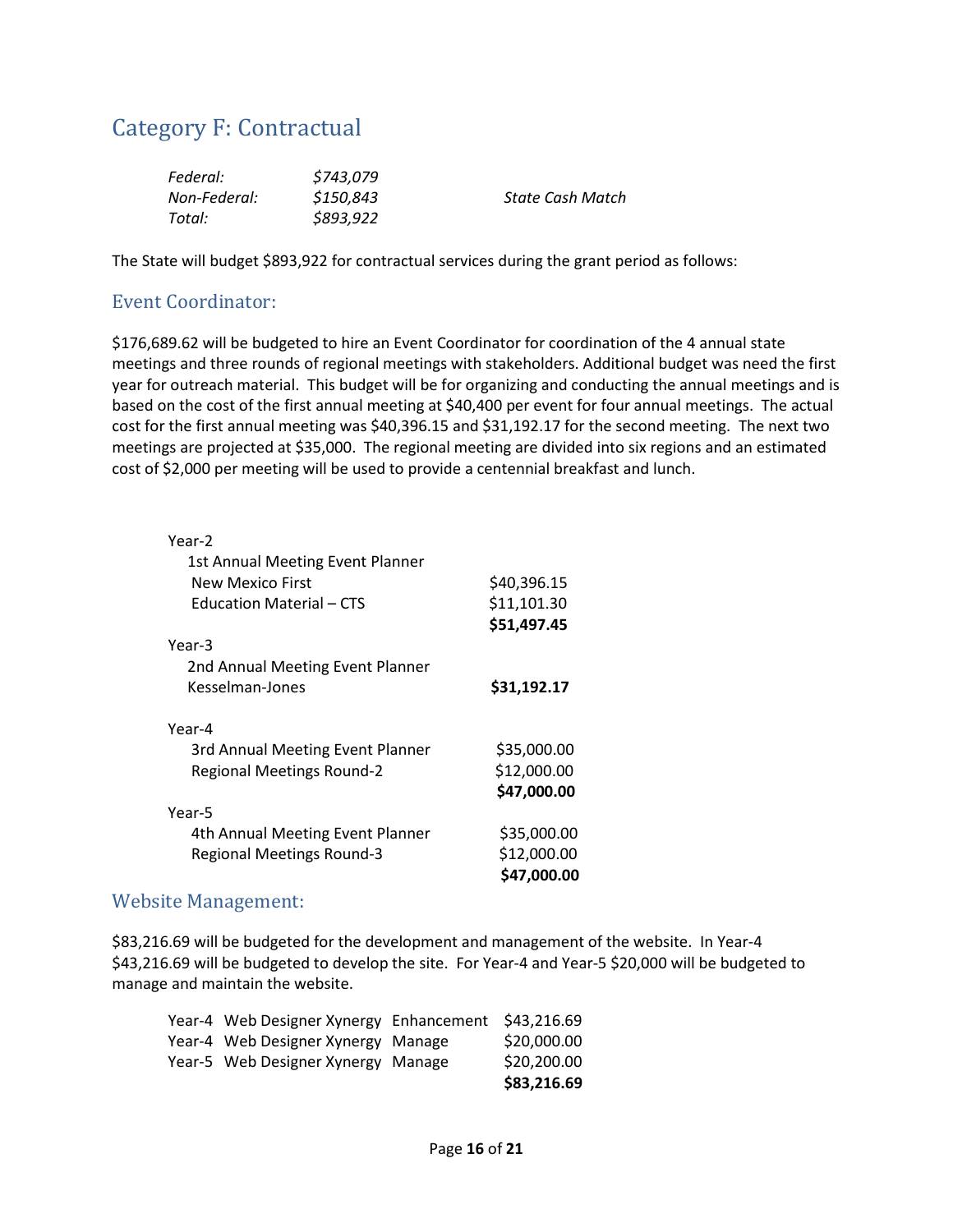### Category F: Contractual

| Federal:     | \$743,079 |                  |
|--------------|-----------|------------------|
| Non-Federal: | \$150,843 | State Cash Match |
| Total:       | \$893,922 |                  |

The State will budget \$893,922 for contractual services during the grant period as follows:

#### Event Coordinator:

\$176,689.62 will be budgeted to hire an Event Coordinator for coordination of the 4 annual state meetings and three rounds of regional meetings with stakeholders. Additional budget was need the first year for outreach material. This budget will be for organizing and conducting the annual meetings and is based on the cost of the first annual meeting at \$40,400 per event for four annual meetings. The actual cost for the first annual meeting was \$40,396.15 and \$31,192.17 for the second meeting. The next two meetings are projected at \$35,000. The regional meeting are divided into six regions and an estimated cost of \$2,000 per meeting will be used to provide a centennial breakfast and lunch.

| Year-2                           |             |
|----------------------------------|-------------|
| 1st Annual Meeting Event Planner |             |
| New Mexico First                 | \$40,396.15 |
| <b>Education Material - CTS</b>  | \$11,101.30 |
|                                  | \$51,497.45 |
| Year-3                           |             |
| 2nd Annual Meeting Event Planner |             |
| Kesselman-Jones                  | \$31,192.17 |
|                                  |             |
| Year-4                           |             |
| 3rd Annual Meeting Event Planner | \$35,000.00 |
| <b>Regional Meetings Round-2</b> | \$12,000.00 |
|                                  | \$47,000.00 |
| Year-5                           |             |
| 4th Annual Meeting Event Planner | \$35,000.00 |
| <b>Regional Meetings Round-3</b> | \$12,000.00 |
|                                  | \$47,000.00 |
|                                  |             |

#### Website Management:

\$83,216.69 will be budgeted for the development and management of the website. In Year-4 \$43,216.69 will be budgeted to develop the site. For Year-4 and Year-5 \$20,000 will be budgeted to manage and maintain the website.

| Year-4 Web Designer Xynergy Enhancement | \$43,216.69 |
|-----------------------------------------|-------------|
| Year-4 Web Designer Xynergy Manage      | \$20,000.00 |
| Year-5 Web Designer Xynergy Manage      | \$20,200.00 |
|                                         | \$83,216.69 |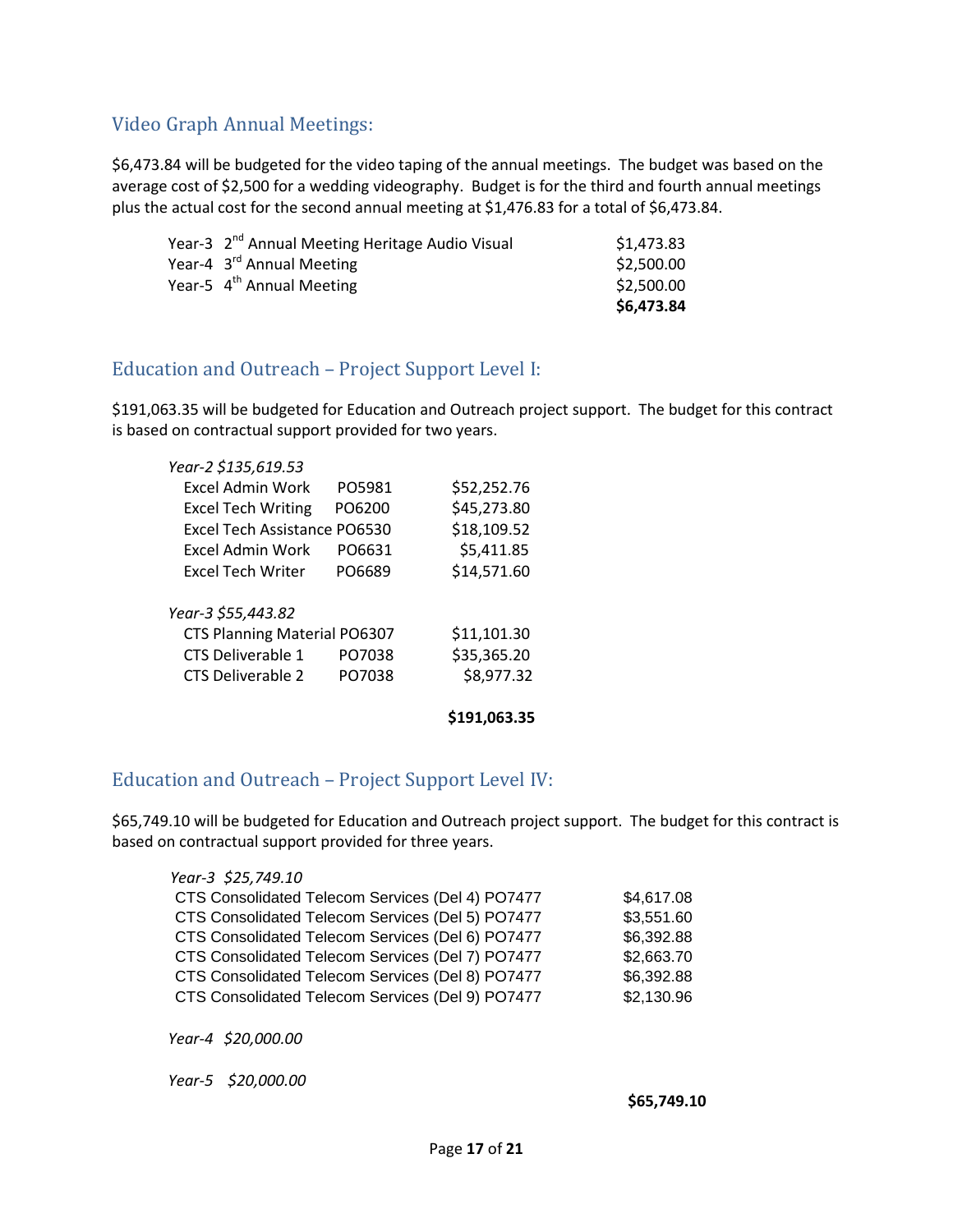#### Video Graph Annual Meetings:

\$6,473.84 will be budgeted for the video taping of the annual meetings. The budget was based on the average cost of \$2,500 for a wedding videography. Budget is for the third and fourth annual meetings plus the actual cost for the second annual meeting at \$1,476.83 for a total of \$6,473.84.

| Year-3 2 <sup>nd</sup> Annual Meeting Heritage Audio Visual | \$1,473.83 |
|-------------------------------------------------------------|------------|
| Year-4 3 <sup>rd</sup> Annual Meeting                       | \$2,500.00 |
| Year-5 4 <sup>th</sup> Annual Meeting                       | \$2,500.00 |
|                                                             | \$6,473.84 |

#### Education and Outreach – Project Support Level I:

\$191,063.35 will be budgeted for Education and Outreach project support. The budget for this contract is based on contractual support provided for two years.

| Year-2 \$135,619.53          |        |             |
|------------------------------|--------|-------------|
| Excel Admin Work             | PO5981 | \$52,252.76 |
| <b>Excel Tech Writing</b>    | PO6200 | \$45,273.80 |
| Excel Tech Assistance PO6530 |        | \$18,109.52 |
| Excel Admin Work             | PO6631 | \$5,411.85  |
| <b>Excel Tech Writer</b>     | PO6689 | \$14,571.60 |
| Year-3 \$55,443.82           |        |             |
| CTS Planning Material PO6307 |        | \$11,101.30 |
| CTS Deliverable 1            | PO7038 | \$35,365.20 |
| CTS Deliverable 2            | PO7038 | \$8,977.32  |
|                              |        |             |

**\$191,063.35**

#### Education and Outreach – Project Support Level IV:

\$65,749.10 will be budgeted for Education and Outreach project support. The budget for this contract is based on contractual support provided for three years.

| Year-3 \$25,749.10                               |            |
|--------------------------------------------------|------------|
| CTS Consolidated Telecom Services (Del 4) PO7477 | \$4,617.08 |
| CTS Consolidated Telecom Services (Del 5) PO7477 | \$3,551.60 |
| CTS Consolidated Telecom Services (Del 6) PO7477 | \$6,392.88 |
| CTS Consolidated Telecom Services (Del 7) PO7477 | \$2,663.70 |
| CTS Consolidated Telecom Services (Del 8) PO7477 | \$6,392.88 |
| CTS Consolidated Telecom Services (Del 9) PO7477 | \$2,130.96 |

*Year-4 \$20,000.00*

*Year-5 \$20,000.00*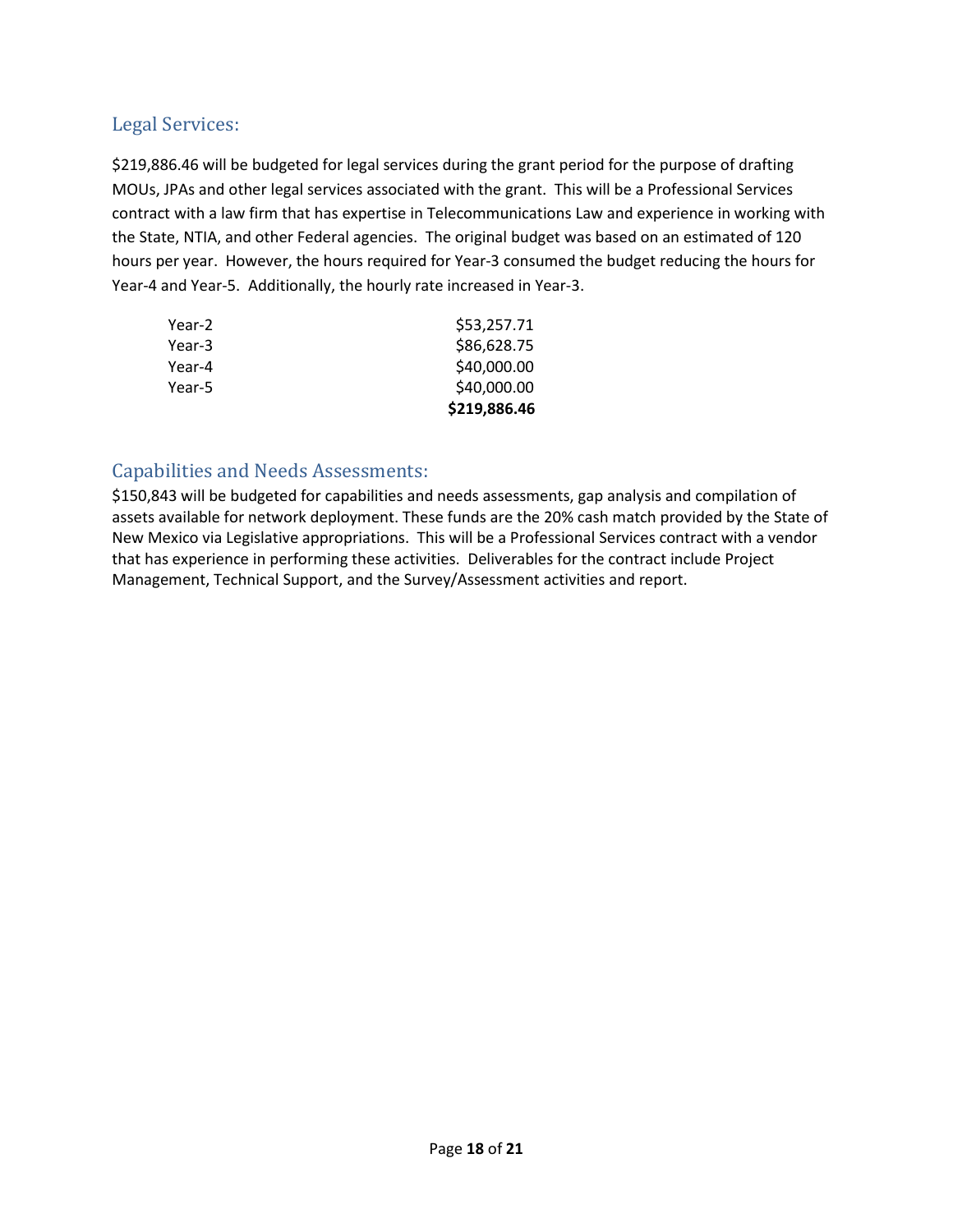#### Legal Services:

\$219,886.46 will be budgeted for legal services during the grant period for the purpose of drafting MOUs, JPAs and other legal services associated with the grant. This will be a Professional Services contract with a law firm that has expertise in Telecommunications Law and experience in working with the State, NTIA, and other Federal agencies. The original budget was based on an estimated of 120 hours per year. However, the hours required for Year-3 consumed the budget reducing the hours for Year-4 and Year-5. Additionally, the hourly rate increased in Year-3.

|        | \$219,886.46 |
|--------|--------------|
| Year-5 | \$40,000.00  |
| Year-4 | \$40,000.00  |
| Year-3 | \$86,628.75  |
| Year-2 | \$53,257.71  |

#### Capabilities and Needs Assessments:

\$150,843 will be budgeted for capabilities and needs assessments, gap analysis and compilation of assets available for network deployment. These funds are the 20% cash match provided by the State of New Mexico via Legislative appropriations. This will be a Professional Services contract with a vendor that has experience in performing these activities. Deliverables for the contract include Project Management, Technical Support, and the Survey/Assessment activities and report.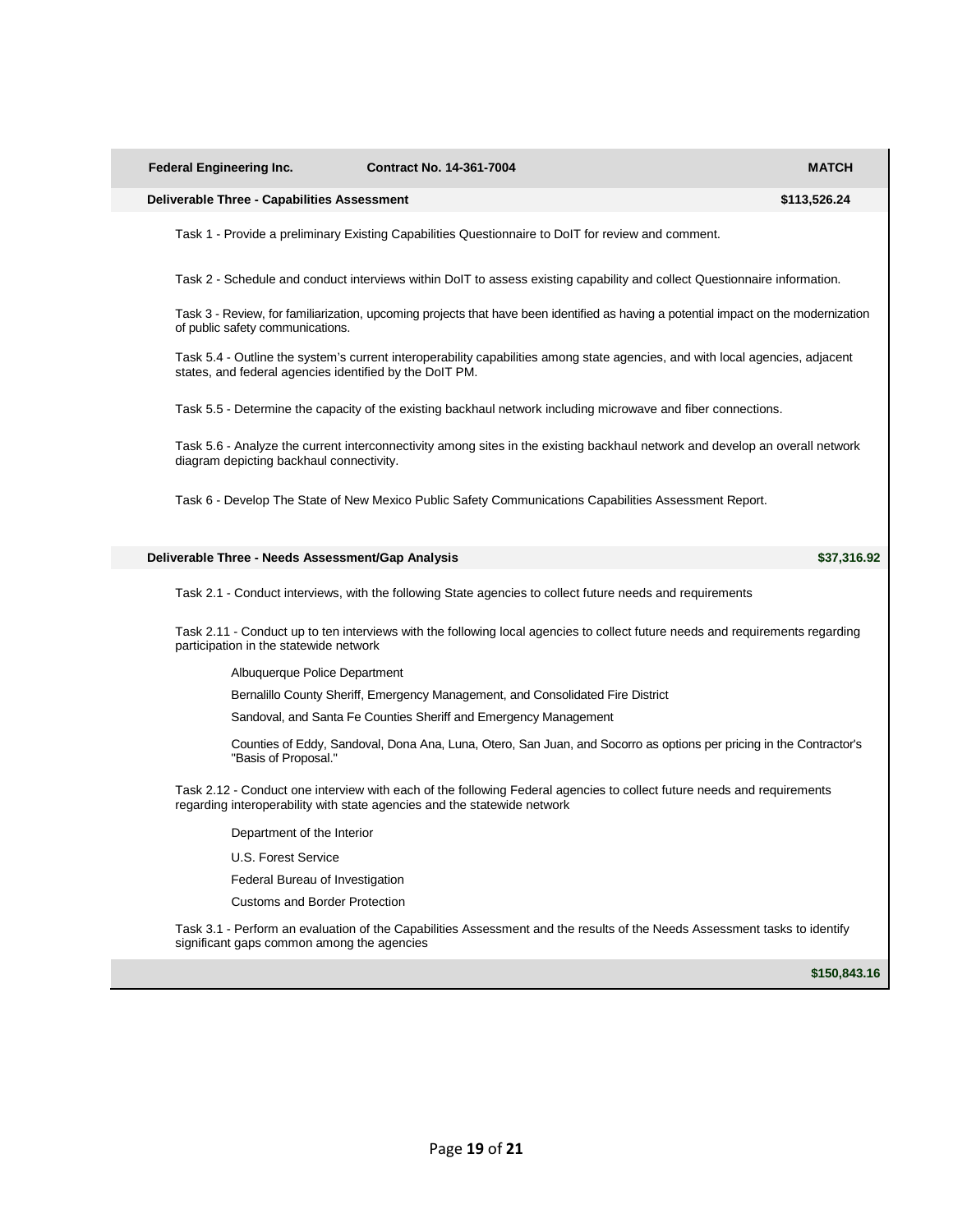| <b>Federal Engineering Inc.</b>                                          | <b>Contract No. 14-361-7004</b>                                  |                                                                                                               | <b>MATCH</b>                                                                                                                        |
|--------------------------------------------------------------------------|------------------------------------------------------------------|---------------------------------------------------------------------------------------------------------------|-------------------------------------------------------------------------------------------------------------------------------------|
| <b>Deliverable Three - Capabilities Assessment</b>                       |                                                                  |                                                                                                               | \$113,526.24                                                                                                                        |
|                                                                          |                                                                  | Task 1 - Provide a preliminary Existing Capabilities Questionnaire to DolT for review and comment.            |                                                                                                                                     |
|                                                                          |                                                                  |                                                                                                               | Task 2 - Schedule and conduct interviews within DoIT to assess existing capability and collect Questionnaire information.           |
| of public safety communications.                                         |                                                                  |                                                                                                               | Task 3 - Review, for familiarization, upcoming projects that have been identified as having a potential impact on the modernization |
| states, and federal agencies identified by the DoIT PM.                  |                                                                  |                                                                                                               | Task 5.4 - Outline the system's current interoperability capabilities among state agencies, and with local agencies, adjacent       |
|                                                                          |                                                                  | Task 5.5 - Determine the capacity of the existing backhaul network including microwave and fiber connections. |                                                                                                                                     |
| diagram depicting backhaul connectivity.                                 |                                                                  |                                                                                                               | Task 5.6 - Analyze the current interconnectivity among sites in the existing backhaul network and develop an overall network        |
|                                                                          |                                                                  | Task 6 - Develop The State of New Mexico Public Safety Communications Capabilities Assessment Report.         |                                                                                                                                     |
| Deliverable Three - Needs Assessment/Gap Analysis                        |                                                                  |                                                                                                               | \$37,316.92                                                                                                                         |
|                                                                          |                                                                  | Task 2.1 - Conduct interviews, with the following State agencies to collect future needs and requirements     |                                                                                                                                     |
| participation in the statewide network                                   |                                                                  |                                                                                                               | Task 2.11 - Conduct up to ten interviews with the following local agencies to collect future needs and requirements regarding       |
| Albuquerque Police Department                                            |                                                                  |                                                                                                               |                                                                                                                                     |
|                                                                          |                                                                  | Bernalillo County Sheriff, Emergency Management, and Consolidated Fire District                               |                                                                                                                                     |
|                                                                          | Sandoval, and Santa Fe Counties Sheriff and Emergency Management |                                                                                                               |                                                                                                                                     |
| "Basis of Proposal."                                                     |                                                                  |                                                                                                               | Counties of Eddy, Sandoval, Dona Ana, Luna, Otero, San Juan, and Socorro as options per pricing in the Contractor's                 |
| regarding interoperability with state agencies and the statewide network |                                                                  |                                                                                                               | Task 2.12 - Conduct one interview with each of the following Federal agencies to collect future needs and requirements              |
| Department of the Interior                                               |                                                                  |                                                                                                               |                                                                                                                                     |
| U.S. Forest Service                                                      |                                                                  |                                                                                                               |                                                                                                                                     |
| Federal Bureau of Investigation                                          |                                                                  |                                                                                                               |                                                                                                                                     |
| <b>Customs and Border Protection</b>                                     |                                                                  |                                                                                                               |                                                                                                                                     |
| significant gaps common among the agencies                               |                                                                  |                                                                                                               | Task 3.1 - Perform an evaluation of the Capabilities Assessment and the results of the Needs Assessment tasks to identify           |

**\$150,843.16**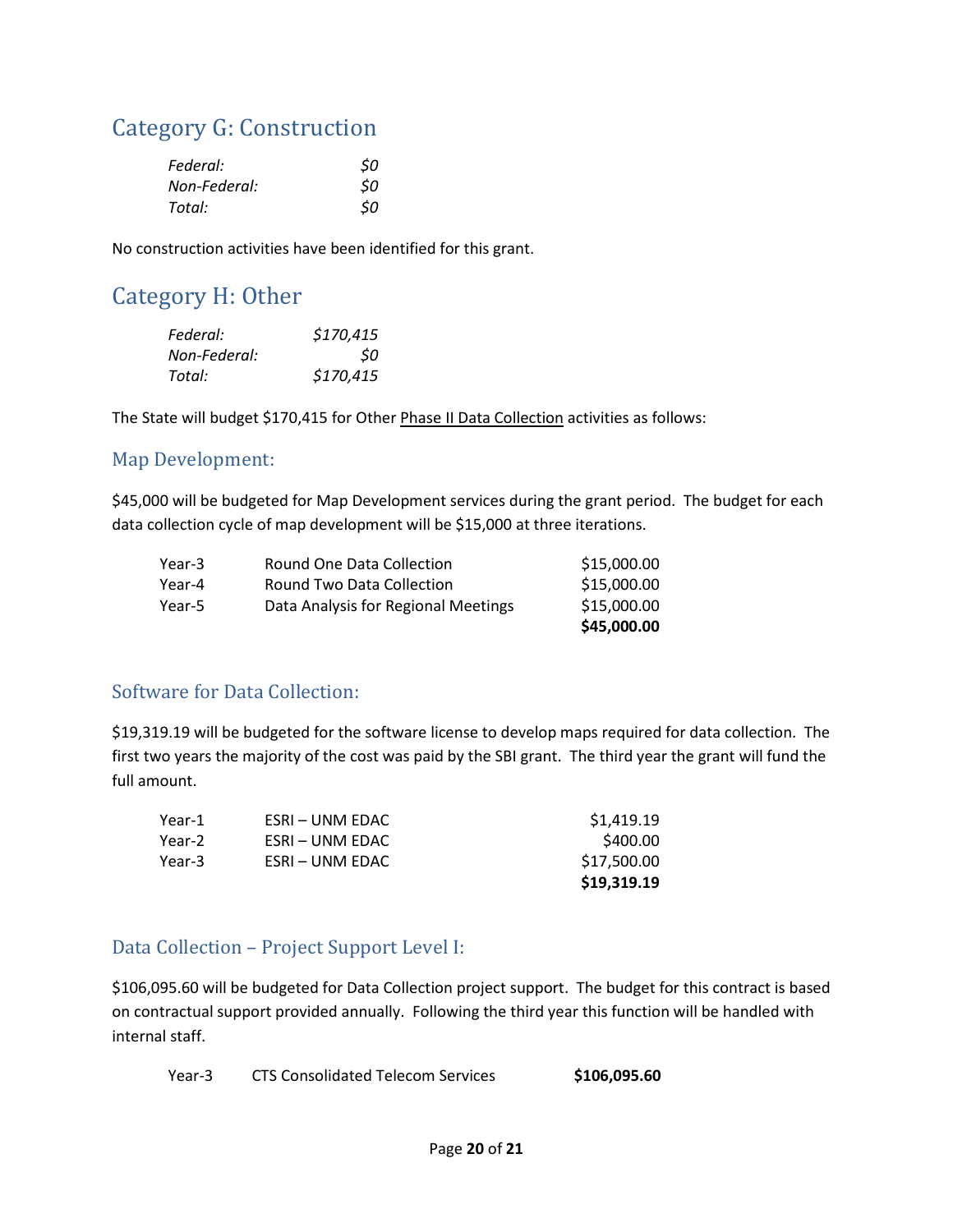### Category G: Construction

| Federal:     | \$0 |
|--------------|-----|
| Non-Federal: | \$0 |
| Total:       | \$0 |

No construction activities have been identified for this grant.

### Category H: Other

| Federal:     | \$170,415 |
|--------------|-----------|
| Non-Federal: | 50        |
| Total:       | \$170,415 |

The State will budget \$170,415 for Other Phase II Data Collection activities as follows:

#### Map Development:

\$45,000 will be budgeted for Map Development services during the grant period. The budget for each data collection cycle of map development will be \$15,000 at three iterations.

|        |                                     | \$45,000.00 |
|--------|-------------------------------------|-------------|
| Year-5 | Data Analysis for Regional Meetings | \$15,000.00 |
| Year-4 | Round Two Data Collection           | \$15,000.00 |
| Year-3 | Round One Data Collection           | \$15,000.00 |

#### Software for Data Collection:

\$19,319.19 will be budgeted for the software license to develop maps required for data collection. The first two years the majority of the cost was paid by the SBI grant. The third year the grant will fund the full amount.

|        |                 | \$19,319.19 |
|--------|-----------------|-------------|
| Year-3 | ESRI – UNM EDAC | \$17,500.00 |
| Year-2 | ESRI – UNM EDAC | \$400.00    |
| Year-1 | ESRI – UNM EDAC | \$1,419.19  |

#### Data Collection – Project Support Level I:

\$106,095.60 will be budgeted for Data Collection project support. The budget for this contract is based on contractual support provided annually. Following the third year this function will be handled with internal staff.

Year-3 CTS Consolidated Telecom Services \$106,095.60